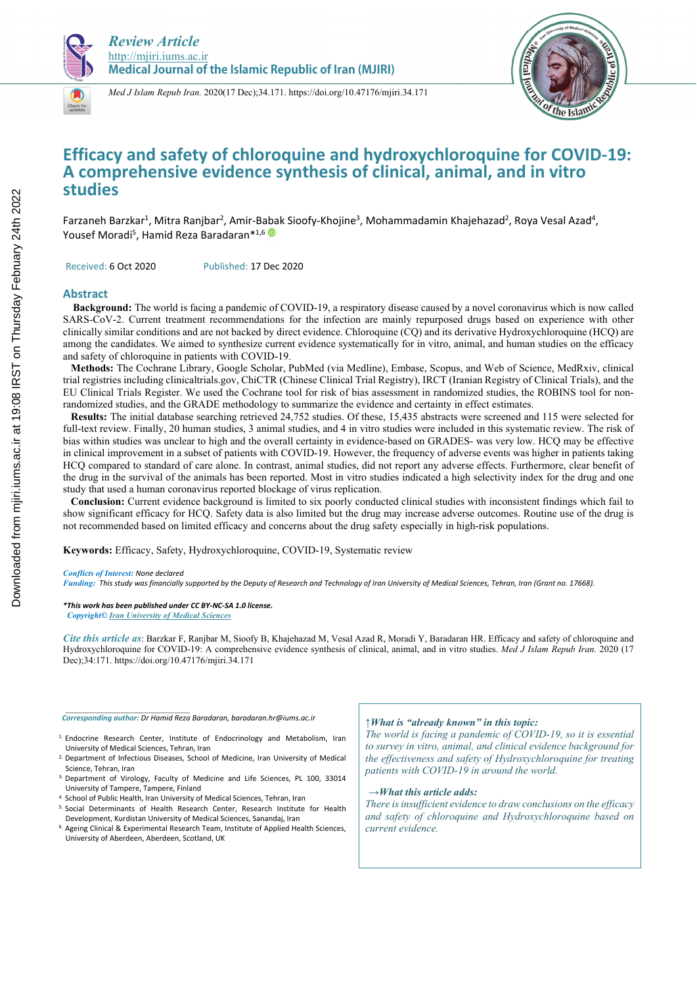



*Med J Islam Repub Iran.* 2020(17 Dec);34.171. https://doi.org/10.47176/mjiri.34.171

# **Efficacy and safety of chloroquine and hydroxychloroquine for COVID-19: A comprehensive evidence synthesis of clinical, animal, and in vitro studies**

Farzaneh Barzkar<sup>1</sup>, Mitra Ranjbar<sup>2</sup>, Amir-Babak Sioofy-Khojine<sup>3</sup>, Mohammadamin Khajehazad<sup>2</sup>, Roya Vesal Azad<sup>4</sup>, Yousef Moradi<sup>5</sup>, Hamid Reza Baradaran\*<sup>1,6</sup>

Received: 6 Oct 2020 Published: 17 Dec 2020

#### **Abstract**

**Background:** The world is facing a pandemic of COVID-19, a respiratory disease caused by a novel coronavirus which is now called SARS-CoV-2. Current treatment recommendations for the infection are mainly repurposed drugs based on experience with other clinically similar conditions and are not backed by direct evidence. Chloroquine (CQ) and its derivative Hydroxychloroquine (HCQ) are among the candidates. We aimed to synthesize current evidence systematically for in vitro, animal, and human studies on the efficacy and safety of chloroquine in patients with COVID-19.

 **Methods:** The Cochrane Library, Google Scholar, PubMed (via Medline), Embase, Scopus, and Web of Science, MedRxiv, clinical trial registries including clinicaltrials.gov, ChiCTR (Chinese Clinical Trial Registry), IRCT (Iranian Registry of Clinical Trials), and the EU Clinical Trials Register. We used the Cochrane tool for risk of bias assessment in randomized studies, the ROBINS tool for nonrandomized studies, and the GRADE methodology to summarize the evidence and certainty in effect estimates.

 **Results:** The initial database searching retrieved 24,752 studies. Of these, 15,435 abstracts were screened and 115 were selected for full-text review. Finally, 20 human studies, 3 animal studies, and 4 in vitro studies were included in this systematic review. The risk of bias within studies was unclear to high and the overall certainty in evidence-based on GRADES- was very low. HCQ may be effective in clinical improvement in a subset of patients with COVID-19. However, the frequency of adverse events was higher in patients taking HCQ compared to standard of care alone. In contrast, animal studies, did not report any adverse effects. Furthermore, clear benefit of the drug in the survival of the animals has been reported. Most in vitro studies indicated a high selectivity index for the drug and one study that used a human coronavirus reported blockage of virus replication.

 **Conclusion:** Current evidence background is limited to six poorly conducted clinical studies with inconsistent findings which fail to show significant efficacy for HCQ. Safety data is also limited but the drug may increase adverse outcomes. Routine use of the drug is not recommended based on limited efficacy and concerns about the drug safety especially in high-risk populations.

**Keywords:** Efficacy, Safety, Hydroxychloroquine, COVID-19, Systematic review

#### *Conflicts of Interest: None declared*

*\_\_\_\_\_\_\_\_\_\_\_\_\_\_\_\_\_\_\_\_\_\_\_\_\_\_\_\_\_\_* 

*Funding: This study was financially supported by the Deputy of Research and Technology of Iran University of Medical Sciences, Tehran, Iran (Grant no. 17668).* 

#### *\*This work has been published under CC BY-NC-SA 1.0 license.*

 *Copyright© Iran University of Medical Sciences* 

*Cite this article as*: Barzkar F, Ranjbar M, Sioofy B, Khajehazad M, Vesal Azad R, Moradi Y, Baradaran HR. Efficacy and safety of chloroquine and Hydroxychloroquine for COVID-19: A comprehensive evidence synthesis of clinical, animal, and in vitro studies. *Med J Islam Repub Iran.* 2020 (17 Dec);34:171. https://doi.org/10.47176/mjiri.34.171

*Corresponding author: Dr Hamid Reza Baradaran, baradaran.hr@iums.ac.ir* 

- 1. Endocrine Research Center, Institute of Endocrinology and Metabolism, Iran University of Medical Sciences, Tehran, Iran
- 2. Department of Infectious Diseases, School of Medicine, Iran University of Medical Science, Tehran, Iran
- 3. Department of Virology, Faculty of Medicine and Life Sciences, PL 100, 33014
- <sup>4.</sup> School of Public Health, Iran University of Medical Sciences, Tehran, Iran 5. Social Determinants of Health Research Center, Research Institute for Health
- Development, Kurdistan University of Medical Sciences, Sanandaj, Iran 6. Ageing Clinical & Experimental Research Team, Institute of Applied Health Sciences, University of Aberdeen, Aberdeen, Scotland, UK

#### *↑What is "already known" in this topic:*

*The world is facing a pandemic of COVID-19, so it is essential to survey in vitro, animal, and clinical evidence background for the effectiveness and safety of Hydroxychloroquine for treating patients with COVID-19 in around the world.* 

#### *→What this article adds:*

*There is insufficient evidence to draw conclusions on the efficacy and safety of chloroquine and Hydroxychloroquine based on current evidence.*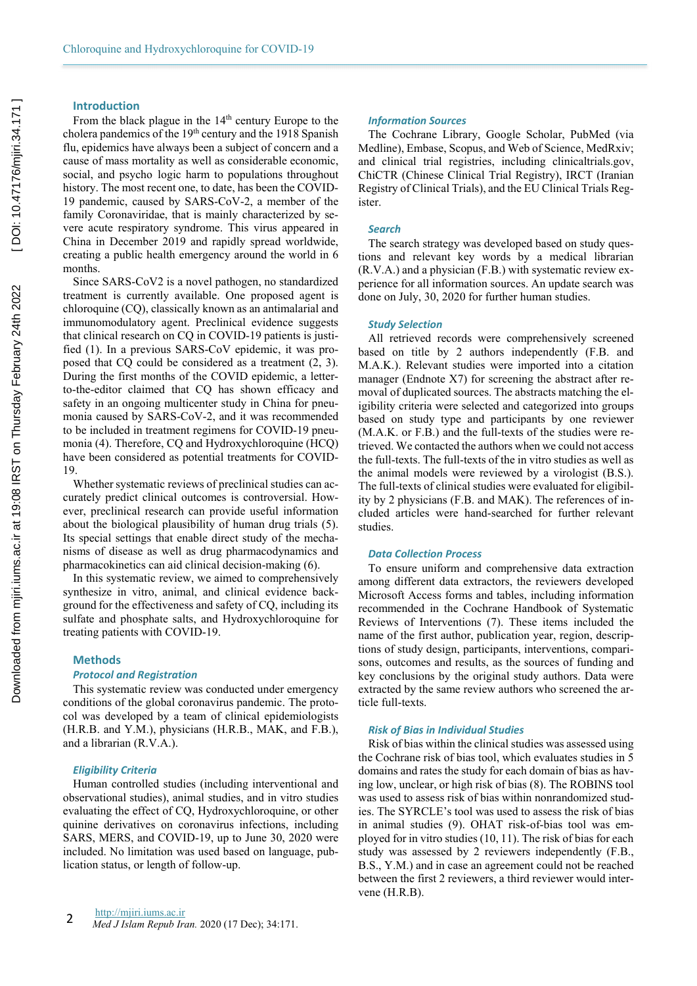### **Introduction**

From the black plague in the 14<sup>th</sup> century Europe to the cholera pandemics of the 19th century and the 1918 Spanish flu, epidemics have always been a subject of concern and a cause of mass mortality as well as considerable economic, social, and psycho logic harm to populations throughout history. The most recent one, to date, has been the COVID-19 pandemic, caused by SARS-CoV-2, a member of the family Coronaviridae, that is mainly characterized by severe acute respiratory syndrome. This virus appeared in China in December 2019 and rapidly spread worldwide, creating a public health emergency around the world in 6 months.

Since SARS-CoV2 is a novel pathogen, no standardized treatment is currently available. One proposed agent is chloroquine (CQ), classically known as an antimalarial and immunomodulatory agent. Preclinical evidence suggests that clinical research on CQ in COVID-19 patients is justified (1). In a previous SARS-CoV epidemic, it was proposed that CQ could be considered as a treatment (2, 3). During the first months of the COVID epidemic, a letterto-the-editor claimed that CQ has shown efficacy and safety in an ongoing multicenter study in China for pneumonia caused by SARS-CoV-2, and it was recommended to be included in treatment regimens for COVID-19 pneumonia (4). Therefore, CQ and Hydroxychloroquine (HCQ) have been considered as potential treatments for COVID-19.

Whether systematic reviews of preclinical studies can accurately predict clinical outcomes is controversial. However, preclinical research can provide useful information about the biological plausibility of human drug trials (5). Its special settings that enable direct study of the mechanisms of disease as well as drug pharmacodynamics and pharmacokinetics can aid clinical decision-making (6).

In this systematic review, we aimed to comprehensively synthesize in vitro, animal, and clinical evidence background for the effectiveness and safety of CQ, including its sulfate and phosphate salts, and Hydroxychloroquine for treating patients with COVID-19.

#### **Methods**

# *Protocol and Registration*

This systematic review was conducted under emergency conditions of the global coronavirus pandemic. The protocol was developed by a team of clinical epidemiologists (H.R.B. and Y.M.), physicians (H.R.B., MAK, and F.B.), and a librarian (R.V.A.).

#### *Eligibility Criteria*

Human controlled studies (including interventional and observational studies), animal studies, and in vitro studies evaluating the effect of CQ, Hydroxychloroquine, or other quinine derivatives on coronavirus infections, including SARS, MERS, and COVID-19, up to June 30, 2020 were included. No limitation was used based on language, publication status, or length of follow-up.

#### *Information Sources*

The Cochrane Library, Google Scholar, PubMed (via Medline), Embase, Scopus, and Web of Science, MedRxiv; and clinical trial registries, including clinicaltrials.gov, ChiCTR (Chinese Clinical Trial Registry), IRCT (Iranian Registry of Clinical Trials), and the EU Clinical Trials Register.

#### *Search*

The search strategy was developed based on study questions and relevant key words by a medical librarian (R.V.A.) and a physician (F.B.) with systematic review experience for all information sources. An update search was done on July, 30, 2020 for further human studies.

#### *Study Selection*

All retrieved records were comprehensively screened based on title by 2 authors independently (F.B. and M.A.K.). Relevant studies were imported into a citation manager (Endnote X7) for screening the abstract after removal of duplicated sources. The abstracts matching the eligibility criteria were selected and categorized into groups based on study type and participants by one reviewer (M.A.K. or F.B.) and the full-texts of the studies were retrieved. We contacted the authors when we could not access the full-texts. The full-texts of the in vitro studies as well as the animal models were reviewed by a virologist (B.S.). The full-texts of clinical studies were evaluated for eligibility by 2 physicians (F.B. and MAK). The references of included articles were hand-searched for further relevant studies.

#### *Data Collection Process*

To ensure uniform and comprehensive data extraction among different data extractors, the reviewers developed Microsoft Access forms and tables, including information recommended in the Cochrane Handbook of Systematic Reviews of Interventions (7). These items included the name of the first author, publication year, region, descriptions of study design, participants, interventions, comparisons, outcomes and results, as the sources of funding and key conclusions by the original study authors. Data were extracted by the same review authors who screened the article full-texts.

#### *Risk of Bias in Individual Studies*

Risk of bias within the clinical studies was assessed using the Cochrane risk of bias tool, which evaluates studies in 5 domains and rates the study for each domain of bias as having low, unclear, or high risk of bias (8). The ROBINS tool was used to assess risk of bias within nonrandomized studies. The SYRCLE's tool was used to assess the risk of bias in animal studies (9). OHAT risk-of-bias tool was employed for in vitro studies (10, 11). The risk of bias for each study was assessed by 2 reviewers independently (F.B., B.S., Y.M.) and in case an agreement could not be reached between the first 2 reviewers, a third reviewer would intervene (H.R.B).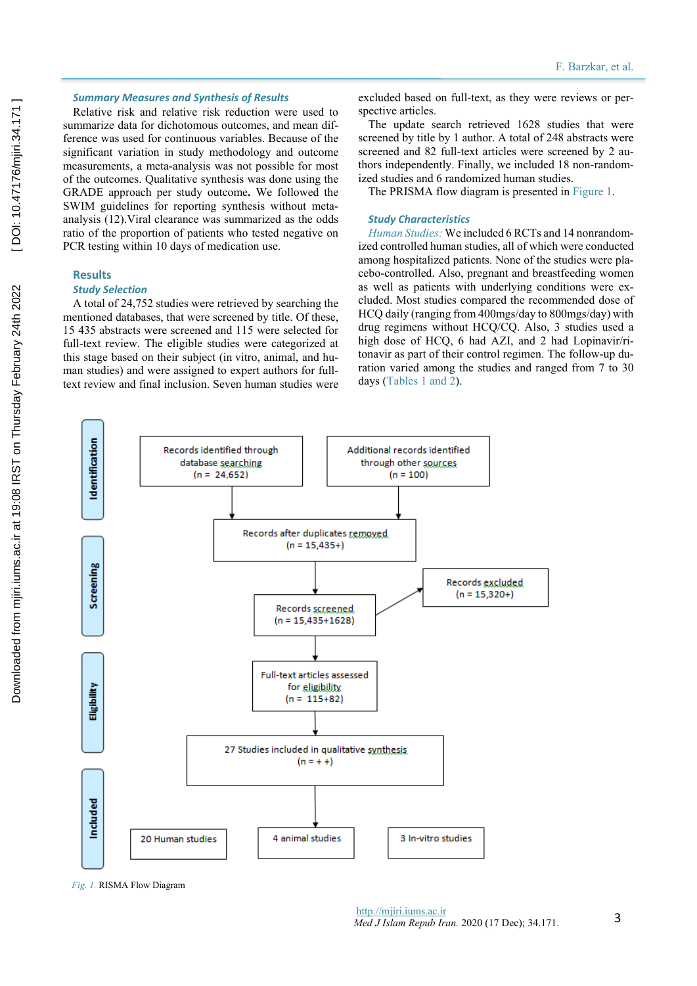# *Summary Measures and Synthesis of Results*

Relative risk and relative risk reduction were used to summarize data for dichotomous outcomes, and mean difference was used for continuous variables. Because of the significant variation in study methodology and outcome measurements, a meta-analysis was not possible for most of the outcomes. Qualitative synthesis was done using the GRADE approach per study outcome**.** We followed the SWIM guidelines for reporting synthesis without metaanalysis (12).Viral clearance was summarized as the odds ratio of the proportion of patients who tested negative on PCR testing within 10 days of medication use.

# **Results**

# *Study Selection*

A total of 24,752 studies were retrieved by searching the mentioned databases, that were screened by title. Of these, 15 435 abstracts were screened and 115 were selected for full-text review. The eligible studies were categorized at this stage based on their subject (in vitro, animal, and human studies) and were assigned to expert authors for fulltext review and final inclusion. Seven human studies were

excluded based on full-text, as they were reviews or perspective articles.

The update search retrieved 1628 studies that were screened by title by 1 author. A total of 248 abstracts were screened and 82 full-text articles were screened by 2 authors independently. Finally, we included 18 non-randomized studies and 6 randomized human studies.

The PRISMA flow diagram is presented in Figure 1.

#### *Study Characteristics*

*Human Studies:* We included 6 RCTs and 14 nonrandomized controlled human studies, all of which were conducted among hospitalized patients. None of the studies were placebo-controlled. Also, pregnant and breastfeeding women as well as patients with underlying conditions were excluded. Most studies compared the recommended dose of HCQ daily (ranging from 400mgs/day to 800mgs/day) with drug regimens without HCQ/CQ. Also, 3 studies used a high dose of HCQ, 6 had AZI, and 2 had Lopinavir/ritonavir as part of their control regimen. The follow-up duration varied among the studies and ranged from 7 to 30 days (Tables 1 and 2).



*Fig. 1.* RISMA Flow Diagram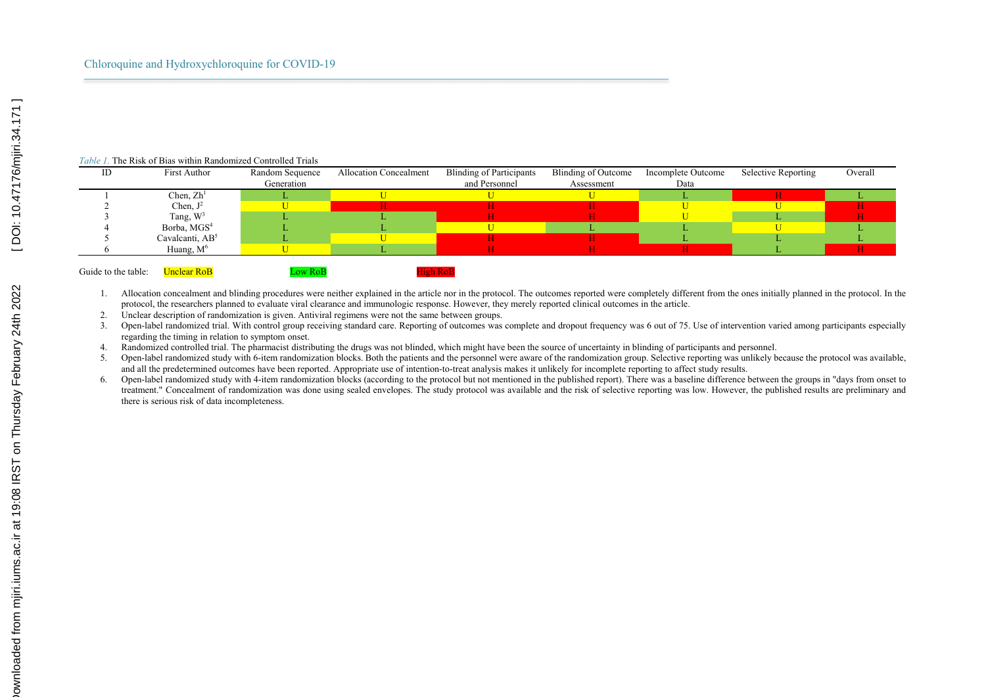#### *Table 1.* The Risk of Bias within Randomized Controlled Trials

| ID                  | First Author                | Random Sequence | <b>Allocation Concealment</b> | <b>Blinding of Participants</b> | Blinding of Outcome | Incomplete Outcome | Selective Reporting | Overall |
|---------------------|-----------------------------|-----------------|-------------------------------|---------------------------------|---------------------|--------------------|---------------------|---------|
|                     |                             | Generation      |                               | and Personnel                   | Assessment          | Data               |                     |         |
|                     | Chen, $Zh1$                 |                 |                               |                                 |                     |                    |                     |         |
|                     | Chen, $J^2$                 |                 |                               |                                 |                     |                    |                     |         |
|                     | Tang, $W^3$                 |                 |                               |                                 |                     |                    |                     |         |
|                     | Borba, MGS <sup>4</sup>     |                 |                               |                                 |                     |                    |                     |         |
|                     | Cavalcanti, AB <sup>5</sup> |                 |                               |                                 |                     |                    |                     |         |
|                     | Huang, $M^6$                |                 |                               |                                 |                     |                    |                     |         |
|                     |                             |                 |                               |                                 |                     |                    |                     |         |
| Guide to the table: | <b>Unclear RoB</b>          | Low RoB         | <b>High Rol</b>               |                                 |                     |                    |                     |         |

1. Allocation concealment and blinding procedures were neither explained in the article nor in the protocol. The outcomes reported were completely different from the ones initially planned in the protocol. In the protocol, the researchers planned to evaluate viral clearance and immunologic response. However, they merely reported clinical outcomes in the article.

2. Unclear description of randomization is given. Antiviral regimens were not the same between groups.

3. Open-label randomized trial. With control group receiving standard care. Reporting of outcomes was complete and dropout frequency was 6 out of 75. Use of intervention varied among participants especially regarding the timing in relation to symptom onset.

4. Randomized controlled trial. The pharmacist distributing the drugs was not blinded, which might have been the source of uncertainty in blinding of participants and personnel.

5. Open-label randomized study with 6-item randomization blocks. Both the patients and the personnel were aware of the randomization group. Selective reporting was unlikely because the protocol was available, and all the predetermined outcomes have been reported. Appropriate use of intention-to-treat analysis makes it unlikely for incomplete reporting to affect study results.

6. Open-label randomized study with 4-item randomization blocks (according to the protocol but not mentioned in the published report). There was a baseline difference between the groups in "days from onset to treatment." Concealment of randomization was done using sealed envelopes. The study protocol was available and the risk of selective reporting was low. However, the published results are preliminary and there is serious risk of data incompleteness.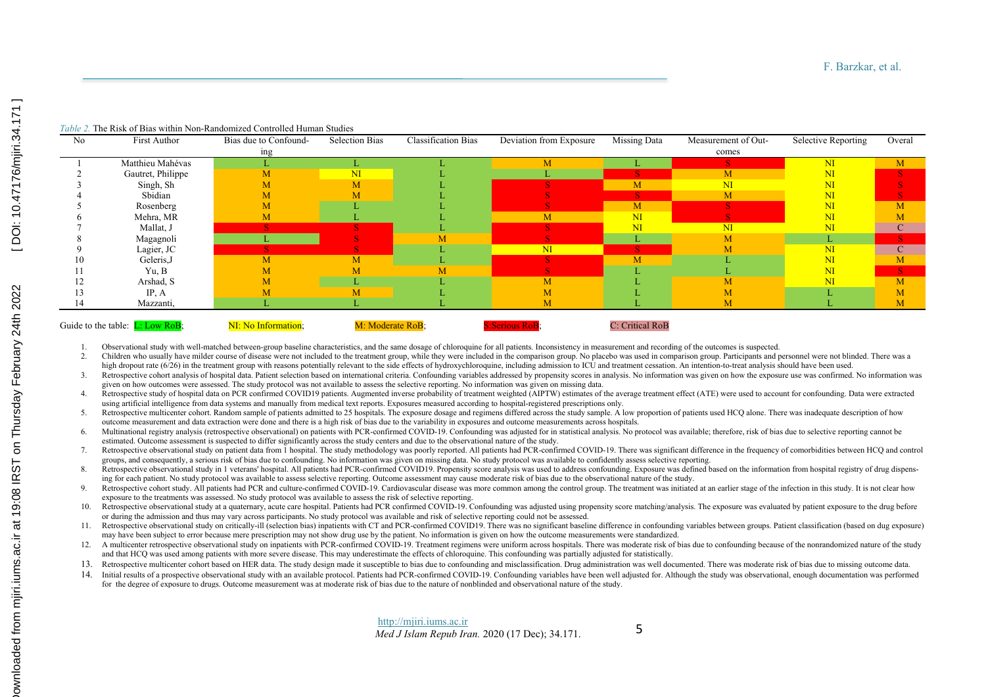| No | First Author                       | Bias due to Confound- | <b>Selection Bias</b> | <b>Classification Bias</b> | Deviation from Exposure | Missing Data           | Measurement of Out-    | Selective Reporting | Overal      |
|----|------------------------------------|-----------------------|-----------------------|----------------------------|-------------------------|------------------------|------------------------|---------------------|-------------|
|    |                                    | <sub>1</sub> ng       |                       |                            |                         |                        | comes                  |                     |             |
|    | Matthieu Mahévas                   |                       |                       |                            | M                       |                        |                        | $\mathbf{N}$        | M           |
|    | Gautret, Philippe                  | М                     | $\mathbf{M}$          |                            |                         |                        | M                      | N <sub>I</sub>      |             |
|    | Singh, Sh                          |                       | M                     |                            |                         | M                      | $\overline{\text{NI}}$ | NI                  |             |
|    | Sbidian                            | M                     |                       |                            |                         |                        | M                      | NI                  |             |
|    | Rosenberg                          | M                     |                       |                            |                         | M                      |                        | NI                  | M           |
|    | Mehra, MR                          | M                     |                       |                            | M                       | $\overline{\text{NI}}$ |                        | NI                  |             |
|    | Mallat, J                          |                       |                       |                            |                         | $\mathbf{M}$           | NI                     | NI                  | $\mathbf C$ |
|    | Magagnoli                          |                       |                       |                            |                         |                        | M                      | L.                  |             |
|    | Lagier, JC                         |                       |                       |                            | $\overline{\rm{M}}$     |                        |                        | NI                  | $\mathbf C$ |
| 10 | Geleris, J                         | M                     | M                     |                            |                         | M                      |                        | NI                  | M           |
|    | Yu, B                              |                       |                       | М                          |                         |                        |                        | NI                  | S           |
|    | Arshad, S                          |                       |                       |                            | M                       |                        |                        | NI                  | M           |
|    | IP, $A$                            |                       | M                     |                            |                         |                        |                        |                     | M           |
|    | Mazzanti,                          |                       |                       |                            | M                       |                        |                        |                     | M           |
|    |                                    |                       |                       |                            |                         |                        |                        |                     |             |
|    | Guide to the table: $L: Low RoB$ ; | NI: No Information;   | M: Moderate RoB;      |                            | <b>S:Serious RoB:</b>   | C: Critical RoB        |                        |                     |             |

1. Observational study with well-matched between-group baseline characteristics, and the same dosage of chloroquine for all patients. Inconsistency in measurement and recording of the outcomes is suspected.<br>2. Children who

Children who usually have milder course of disease were not included to the treatment group, while they were included in the comparison group. No placebo was used in comparison group. Participants and personnel were not bl high dropout rate (6/26) in the treatment group with reasons potentially relevant to the side effects of hydroxychloroquine, including admission to ICU and treatment cessation. An intention-to-treat analysis should have be

- 3. Retrospective cohort analysis of hospital data. Patient selection based on international criteria. Confounding variables addressed by propensity scores in analysis. No information was given on how the exposure use was c given on how outcomes were assessed. The study protocol was not available to assess the selective reporting. No information was given on missing data.
- 4. Retrospective study of hospital data on PCR confirmed COVID19 patients. Augmented inverse probability of treatment weighted (AIPTW) estimates of the average treatment effect (ATE) were used to account for confounding. D using artificial intelligence from data systems and manually from medical text reports. Exposures measured according to hospital-registered prescriptions only.
- 5. Retrospective multicenter cohort. Random sample of patients admitted to 25 hospitals. The exposure dosage and regimens differed across the study sample. A low proportion of patients used HCQ alone. There was inadequate outcome measurement and data extraction were done and there is a high risk of bias due to the variability in exposures and outcome measurements across hospitals.
- 6. Multinational registry analysis (retrospective observational) on patients with PCR-confirmed COVID-19. Confounding was adjusted for in statistical analysis. No protocol was available; therefore, risk of bias due to sele estimated. Outcome assessment is suspected to differ significantly across the study centers and due to the observational nature of the study.

7. Retrospective observational study on patient data from I hospital. The study methodology was poorly reported. All patients had PCR-confirmed COVID-19. There was significant difference in the frequency of comorbidities b groups, and consequently, a serious risk of bias due to confounding. No information was given on missing data. No study protocol was available to confidently assess selective reporting.

- 8. Retrospective observational study in 1 veterans' hospital. All patients had PCR-confirmed COVID19. Propensity score analysis was used to address confounding. Exposure was defined based on the information from hospital r ing for each patient. No study protocol was available to assess selective reporting. Outcome assessment may cause moderate risk of bias due to the observational nature of the study.
- 9. Retrospective cohort study. All patients had PCR and culture-confirmed COVID-19. Cardiovascular disease was more common among the control group. The treatment was initiated at an earlier stage of the infection in this s exposure to the treatments was assessed. No study protocol was available to assess the risk of selective reporting.
- 10. Retrospective observational study at a quaternary, acute care hospital. Patients had PCR confirmed COVID-19. Confounding was adjusted using propensity score matching/analysis. The exposure was evaluated by patient expo or during the admission and thus may vary across participants. No study protocol was available and risk of selective reporting could not be assessed.
- 11. Retrospective observational study on critically-ill (selection bias) inpatients with CT and PCR-confirmed COVID19. There was no significant baseline difference in confounding variables between groups. Patient classific may have been subject to error because mere prescription may not show drug use by the patient. No information is given on how the outcome measurements were standardized.
- 12. A multicenter retrospective observational study on inpatients with PCR-confirmed COVID-19. Treatment regimens were uniform across hospitals. There was moderate risk of bias due to confounding because of the nonrandomiz and that HCQ was used among patients with more severe disease. This may underestimate the effects of chloroquine. This confounding was partially adjusted for statistically.
- 13. Retrospective multicenter cohort based on HER data. The study design made it susceptible to bias due to confounding and misclassification. Drug administration was well documented. There was moderate risk of bias due to
- 14. Initial results of a prospective observational study with an available protocol. Patients had PCR-confirmed COVID-19. Confounding variables have been well adjusted for. Although the study was observational, enough docu for the degree of exposure to drugs. Outcome measurement was at moderate risk of bias due to the nature of nonblinded and observational nature of the study.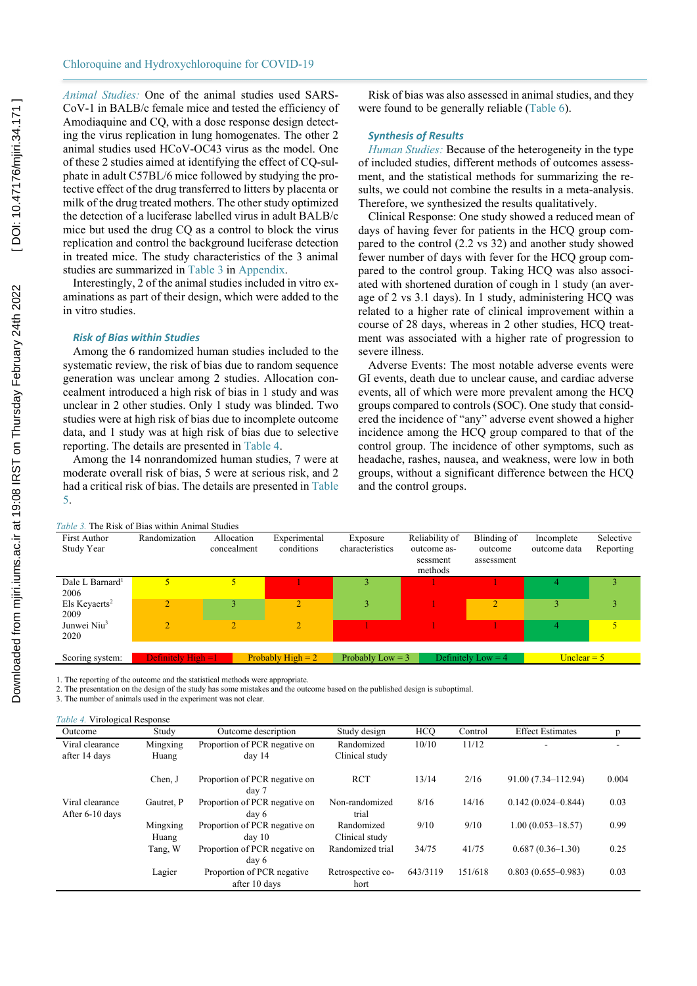*Animal Studies:* One of the animal studies used SARS-CoV-1 in BALB/c female mice and tested the efficiency of Amodiaquine and CQ, with a dose response design detecting the virus replication in lung homogenates. The other 2 animal studies used HCoV-OC43 virus as the model. One of these 2 studies aimed at identifying the effect of CQ-sulphate in adult C57BL/6 mice followed by studying the protective effect of the drug transferred to litters by placenta or milk of the drug treated mothers. The other study optimized the detection of a luciferase labelled virus in adult BALB/c mice but used the drug CQ as a control to block the virus replication and control the background luciferase detection in treated mice. The study characteristics of the 3 animal studies are summarized in Table 3 in Appendix.

Interestingly, 2 of the animal studies included in vitro examinations as part of their design, which were added to the in vitro studies.

#### *Risk of Bias within Studies*

Among the 6 randomized human studies included to the systematic review, the risk of bias due to random sequence generation was unclear among 2 studies. Allocation concealment introduced a high risk of bias in 1 study and was unclear in 2 other studies. Only 1 study was blinded. Two studies were at high risk of bias due to incomplete outcome data, and 1 study was at high risk of bias due to selective reporting. The details are presented in Table 4.

Among the 14 nonrandomized human studies, 7 were at moderate overall risk of bias, 5 were at serious risk, and 2 had a critical risk of bias. The details are presented in Table 5.

Risk of bias was also assessed in animal studies, and they were found to be generally reliable (Table 6).

# *Synthesis of Results*

*Human Studies:* Because of the heterogeneity in the type of included studies, different methods of outcomes assessment, and the statistical methods for summarizing the results, we could not combine the results in a meta-analysis. Therefore, we synthesized the results qualitatively.

Clinical Response: One study showed a reduced mean of days of having fever for patients in the HCQ group compared to the control (2.2 vs 32) and another study showed fewer number of days with fever for the HCQ group compared to the control group. Taking HCQ was also associated with shortened duration of cough in 1 study (an average of 2 vs 3.1 days). In 1 study, administering HCQ was related to a higher rate of clinical improvement within a course of 28 days, whereas in 2 other studies, HCQ treatment was associated with a higher rate of progression to severe illness.

Adverse Events: The most notable adverse events were GI events, death due to unclear cause, and cardiac adverse events, all of which were more prevalent among the HCQ groups compared to controls (SOC). One study that considered the incidence of "any" adverse event showed a higher incidence among the HCQ group compared to that of the control group. The incidence of other symptoms, such as headache, rashes, nausea, and weakness, were low in both groups, without a significant difference between the HCQ and the control groups.

| <i>Table 3.</i> The Risk of Bias within Animal Studies |                       |                           |                            |                             |                                                      |                                      |                            |                        |  |  |  |  |
|--------------------------------------------------------|-----------------------|---------------------------|----------------------------|-----------------------------|------------------------------------------------------|--------------------------------------|----------------------------|------------------------|--|--|--|--|
| <b>First Author</b><br>Study Year                      | Randomization         | Allocation<br>concealment | Experimental<br>conditions | Exposure<br>characteristics | Reliability of<br>outcome as-<br>sessment<br>methods | Blinding of<br>outcome<br>assessment | Incomplete<br>outcome data | Selective<br>Reporting |  |  |  |  |
| Dale L Barnard <sup>1</sup><br>2006                    |                       | 5                         |                            |                             |                                                      |                                      |                            |                        |  |  |  |  |
| Els Keyaerts <sup>2</sup><br>2009                      | $\overline{2}$        | 3                         | $\overline{ }$             | 3                           |                                                      | $\overline{2}$                       | 3                          | 3                      |  |  |  |  |
| Junwei Niu <sup>3</sup><br>2020                        | $\overline{2}$        |                           | $\overline{2}$             |                             |                                                      |                                      | 4                          | 5                      |  |  |  |  |
| Scoring system:                                        | Definitely $High = 1$ |                           | Probably High $= 2$        | Probably Low $=$ 3          |                                                      | Definitely Low $=$ 4                 | Unclear $= 5$              |                        |  |  |  |  |

1. The reporting of the outcome and the statistical methods were appropriate.

2. The presentation on the design of the study has some mistakes and the outcome based on the published design is suboptimal.

3. The number of animals used in the experiment was not clear.

*Table 4.* Virological Response

| Outcome                            | Study             | Outcome description                         | Study design                 | <b>HCO</b> | Control | <b>Effect Estimates</b> | p     |
|------------------------------------|-------------------|---------------------------------------------|------------------------------|------------|---------|-------------------------|-------|
| Viral clearance<br>after 14 days   | Mingxing<br>Huang | Proportion of PCR negative on<br>day 14     | Randomized<br>Clinical study | 10/10      | 11/12   |                         |       |
|                                    | Chen, J           | Proportion of PCR negative on<br>day 7      | <b>RCT</b>                   | 13/14      | 2/16    | 91.00 (7.34–112.94)     | 0.004 |
| Viral clearance<br>After 6-10 days | Gautret, P        | Proportion of PCR negative on<br>day 6      | Non-randomized<br>trial      | 8/16       | 14/16   | $0.142(0.024 - 0.844)$  | 0.03  |
|                                    | Mingxing<br>Huang | Proportion of PCR negative on<br>$d$ av 10  | Randomized<br>Clinical study | 9/10       | 9/10    | $1.00(0.053 - 18.57)$   | 0.99  |
|                                    | Tang, W           | Proportion of PCR negative on<br>day 6      | Randomized trial             | 34/75      | 41/75   | $0.687(0.36-1.30)$      | 0.25  |
|                                    | Lagier            | Proportion of PCR negative<br>after 10 days | Retrospective co-<br>hort    | 643/3119   | 151/618 | $0.803(0.655-0.983)$    | 0.03  |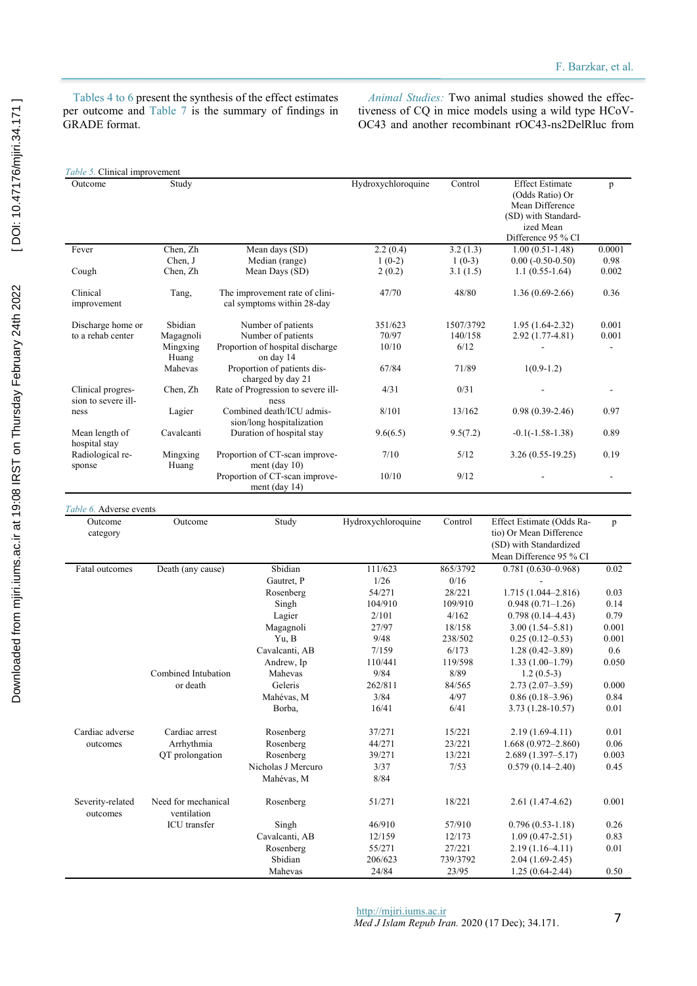Tables 4 to 6 present the synthesis of the effect estimates per outcome and Table 7 is the summary of findings in GRADE format.

*Animal Studies:* Two animal studies showed the effectiveness of CQ in mice models using a wild type HCoV-OC43 and another recombinant rOC43-ns2DelRluc from

| Table 5. Clinical improvement            |                                    |                                                              |                    |           |                                                                                                                        |              |
|------------------------------------------|------------------------------------|--------------------------------------------------------------|--------------------|-----------|------------------------------------------------------------------------------------------------------------------------|--------------|
| Outcome                                  | Study                              |                                                              | Hydroxychloroquine | Control   | <b>Effect Estimate</b><br>(Odds Ratio) Or<br>Mean Difference<br>(SD) with Standard-<br>ized Mean<br>Difference 95 % CI | p            |
| Fever                                    | Chen, Zh                           | Mean days (SD)                                               | 2.2(0.4)           | 3.2(1.3)  | $1.00(0.51-1.48)$                                                                                                      | 0.0001       |
|                                          | Chen, J                            | Median (range)                                               | $1(0-2)$           | $1(0-3)$  | $0.00(-0.50-0.50)$                                                                                                     | 0.98         |
| Cough                                    | Chen, Zh                           | Mean Days (SD)                                               | 2(0.2)             | 3.1(1.5)  | $1.1(0.55-1.64)$                                                                                                       | 0.002        |
| Clinical<br>improvement                  | Tang,                              | The improvement rate of clini-<br>cal symptoms within 28-day | 47/70              | 48/80     | $1.36(0.69-2.66)$                                                                                                      | 0.36         |
| Discharge home or                        | Sbidian                            | Number of patients                                           | 351/623            | 1507/3792 | $1.95(1.64-2.32)$                                                                                                      | 0.001        |
| to a rehab center                        | Magagnoli                          | Number of patients                                           | 70/97              | 140/158   | 2.92 (1.77-4.81)                                                                                                       | 0.001        |
|                                          | Mingxing                           | Proportion of hospital discharge                             | 10/10              | 6/12      |                                                                                                                        | $\mathbf{r}$ |
|                                          | Huang                              | on day 14                                                    |                    |           |                                                                                                                        |              |
|                                          | Mahevas                            | Proportion of patients dis-<br>charged by day 21             | 67/84              | 71/89     | $1(0.9-1.2)$                                                                                                           |              |
| Clinical progres-<br>sion to severe ill- | Chen, Zh                           | Rate of Progression to severe ill-<br>ness                   | 4/31               | 0/31      |                                                                                                                        |              |
| ness                                     | Lagier                             | Combined death/ICU admis-<br>sion/long hospitalization       | 8/101              | 13/162    | $0.98(0.39-2.46)$                                                                                                      | 0.97         |
| Mean length of<br>hospital stay          | Cavalcanti                         | Duration of hospital stay                                    | 9.6(6.5)           | 9.5(7.2)  | $-0.1(-1.58-1.38)$                                                                                                     | 0.89         |
| Radiological re-<br>sponse               | Mingxing<br>Huang                  | Proportion of CT-scan improve-<br>ment (day $10$ )           | 7/10               | 5/12      | $3.26(0.55-19.25)$                                                                                                     | 0.19         |
|                                          |                                    | Proportion of CT-scan improve-<br>ment (day $14$ )           | 10/10              | 9/12      |                                                                                                                        |              |
| Table 6. Adverse events                  |                                    |                                                              |                    |           |                                                                                                                        |              |
| Outcome<br>category                      | Outcome                            | Study                                                        | Hydroxychloroquine | Control   | Effect Estimate (Odds Ra-<br>tio) Or Mean Difference<br>(SD) with Standardized<br>Mean Difference 95 % CI              | p            |
| Fatal outcomes                           | Death (any cause)                  | Sbidian                                                      | 111/623            | 865/3792  | $0.781(0.630 - 0.968)$                                                                                                 | 0.02         |
|                                          |                                    | Gautret, P                                                   | 1/26               | 0/16      |                                                                                                                        |              |
|                                          |                                    | Rosenberg                                                    | 54/271             | 28/221    | $1.715(1.044 - 2.816)$                                                                                                 | 0.03         |
|                                          |                                    | Singh                                                        | 104/910            | 109/910   | $0.948(0.71-1.26)$                                                                                                     | 0.14         |
|                                          |                                    | Lagier                                                       | 2/101              | 4/162     | $0.798(0.14 - 4.43)$                                                                                                   | 0.79         |
|                                          |                                    | Magagnoli                                                    | 27/97              | 18/158    | $3.00(1.54 - 5.81)$                                                                                                    | 0.001        |
|                                          |                                    | Yu, B                                                        | 9/48               | 238/502   | $0.25(0.12-0.53)$                                                                                                      | 0.001        |
|                                          |                                    | Cavalcanti, AB                                               | 7/159              | 6/173     | $1.28(0.42 - 3.89)$                                                                                                    | 0.6          |
|                                          |                                    | Andrew, Ip                                                   | 110/441            | 119/598   | $1.33(1.00-1.79)$                                                                                                      | 0.050        |
|                                          | Combined Intubation                | Mahevas                                                      | 9/84               | 8/89      | $1.2(0.5-3)$                                                                                                           |              |
|                                          | or death                           | Geleris                                                      | 262/811            | 84/565    | $2.73(2.07-3.59)$                                                                                                      | 0.000        |
|                                          |                                    | Mahévas, M                                                   | 3/84               | 4/97      | $0.86(0.18-3.96)$                                                                                                      | 0.84         |
|                                          |                                    | Borba,                                                       | 16/41              | 6/41      | 3.73 (1.28-10.57)                                                                                                      | 0.01         |
| Cardiac adverse                          | Cardiac arrest                     | Rosenberg                                                    | 37/271             | 15/221    | $2.19(1.69-4.11)$                                                                                                      | 0.01         |
| outcomes                                 | Arrhythmia                         | Rosenberg                                                    | 44/271             | 23/221    | $1.668(0.972 - 2.860)$                                                                                                 | 0.06         |
|                                          | QT prolongation                    | Rosenberg                                                    | 39/271             | 13/221    | $2.689(1.397 - 5.17)$                                                                                                  | 0.003        |
|                                          |                                    | Nicholas J Mercuro                                           | 3/37               | 7/53      | $0.579(0.14 - 2.40)$                                                                                                   | 0.45         |
|                                          |                                    | Mahévas, M                                                   | 8/84               |           |                                                                                                                        |              |
| Severity-related<br>outcomes             | Need for mechanical<br>ventilation | Rosenberg                                                    | 51/271             | 18/221    | $2.61(1.47-4.62)$                                                                                                      | 0.001        |
|                                          | ICU transfer                       | Singh                                                        | 46/910             | 57/910    | $0.796(0.53-1.18)$                                                                                                     | 0.26         |
|                                          |                                    | Cavalcanti, AB                                               | 12/159             | 12/173    | $1.09(0.47-2.51)$                                                                                                      | 0.83         |
|                                          |                                    | Rosenberg                                                    | 55/271             | 27/221    | $2.19(1.16-4.11)$                                                                                                      | 0.01         |
|                                          |                                    | Sbidian                                                      | 206/623            | 739/3792  | $2.04(1.69-2.45)$                                                                                                      |              |
|                                          |                                    | Mahevas                                                      | 24/84              | 23/95     | $1.25(0.64-2.44)$                                                                                                      | 0.50         |
|                                          |                                    |                                                              |                    |           |                                                                                                                        |              |

[DOI: 10.47176/mjiri.34.171] [Downloaded from mjiri.iums.ac.ir at 19:08 IRST on Thursday February 24th 2022 \[ DOI: 10.47176/mjiri.34.171 \]](http://mjiri.iums.ac.ir/article-1-7173-en.html) Downloaded from mjiri.iums.ac.ir at 19:08 IRST on Thursday February 24th 2022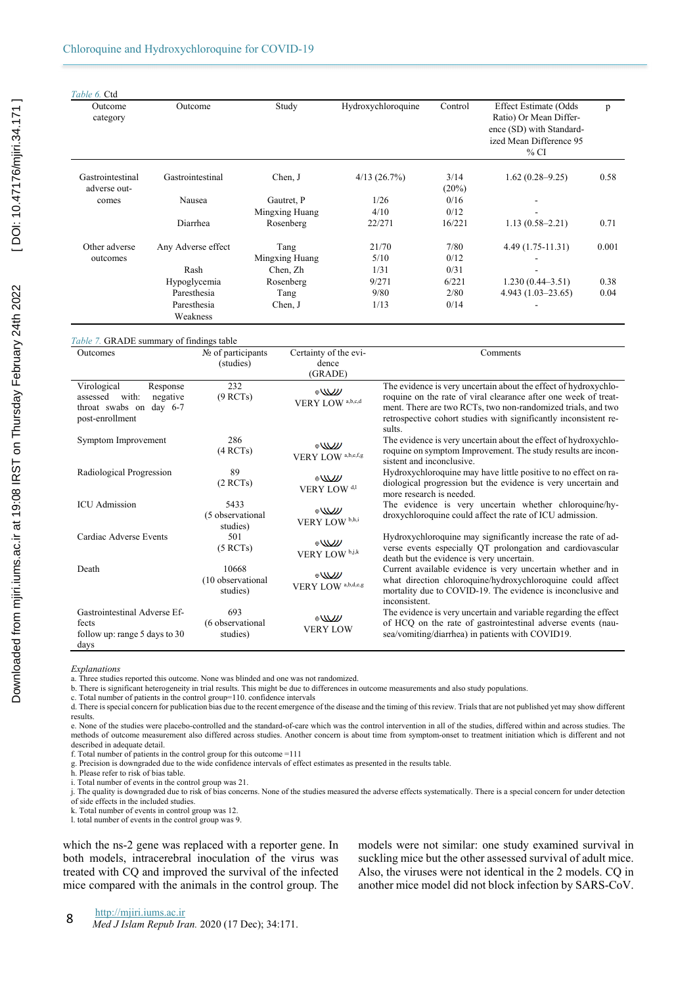| Table 6. Ctd                     |                         |                |                    |               |                                                                                                                          |       |
|----------------------------------|-------------------------|----------------|--------------------|---------------|--------------------------------------------------------------------------------------------------------------------------|-------|
| Outcome<br>category              | Outcome                 | Study          | Hydroxychloroquine | Control       | <b>Effect Estimate (Odds</b><br>Ratio) Or Mean Differ-<br>ence (SD) with Standard-<br>ized Mean Difference 95<br>$\%$ CI | p     |
| Gastrointestinal<br>adverse out- | Gastrointestinal        | Chen, J        | 4/13(26.7%)        | 3/14<br>(20%) | $1.62(0.28 - 9.25)$                                                                                                      | 0.58  |
| comes                            | Nausea                  | Gautret, P     | 1/26               | 0/16          |                                                                                                                          |       |
|                                  |                         | Mingxing Huang | 4/10               | 0/12          |                                                                                                                          |       |
|                                  | Diarrhea                | Rosenberg      | 22/271             | 16/221        | $1.13(0.58 - 2.21)$                                                                                                      | 0.71  |
| Other adverse                    | Any Adverse effect      | Tang           | 21/70              | 7/80          | $4.49(1.75-11.31)$                                                                                                       | 0.001 |
| outcomes                         |                         | Mingxing Huang | 5/10               | 0/12          |                                                                                                                          |       |
|                                  | Rash                    | Chen, Zh       | 1/31               | 0/31          |                                                                                                                          |       |
|                                  | Hypoglycemia            | Rosenberg      | 9/271              | 6/221         | $1.230(0.44-3.51)$                                                                                                       | 0.38  |
|                                  | Paresthesia             | Tang           | 9/80               | 2/80          | $4.943(1.03-23.65)$                                                                                                      | 0.04  |
|                                  | Paresthesia<br>Weakness | Chen, J        | 1/13               | 0/14          |                                                                                                                          |       |

#### *Table 7.* GRADE summary of findings table

| Outcomes                                                                                               | $N2$ of participants<br>(studies)      | Certainty of the evi-<br>dence                | Comments                                                                                                                                                                                                                                                                         |
|--------------------------------------------------------------------------------------------------------|----------------------------------------|-----------------------------------------------|----------------------------------------------------------------------------------------------------------------------------------------------------------------------------------------------------------------------------------------------------------------------------------|
|                                                                                                        |                                        | (GRADE)                                       |                                                                                                                                                                                                                                                                                  |
| Virological<br>Response<br>assessed<br>with:<br>negative<br>throat swabs on day 6-7<br>post-enrollment | 232<br>(9 RCTs)                        | $\mathbb{W}^*$<br>VERY LOW <sup>a,b,c,d</sup> | The evidence is very uncertain about the effect of hydroxychlo-<br>roquine on the rate of viral clearance after one week of treat-<br>ment. There are two RCTs, two non-randomized trials, and two<br>retrospective cohort studies with significantly inconsistent re-<br>sults. |
| Symptom Improvement                                                                                    | 286<br>(4 RCTs)                        | $\oplus$<br>VERY LOW a,b,e,f,g                | The evidence is very uncertain about the effect of hydroxychlo-<br>roquine on symptom Improvement. The study results are incon-<br>sistent and inconclusive.                                                                                                                     |
| Radiological Progression                                                                               | 89<br>(2 RCTs)                         | $\sqrt{2}$<br>VERY LOW <sup>d,1</sup>         | Hydroxychloroquine may have little positive to no effect on ra-<br>diological progression but the evidence is very uncertain and<br>more research is needed.                                                                                                                     |
| <b>ICU</b> Admission                                                                                   | 5433<br>(5 observational<br>studies)   | $\oplus$<br>VERY LOW <sup>b,h,i</sup>         | The evidence is very uncertain whether chloroquine/hy-<br>droxychloroquine could affect the rate of ICU admission.                                                                                                                                                               |
| Cardiac Adverse Events                                                                                 | 501<br>(5 RCTs)                        | $\oplus$<br>VERY LOW b.j.k                    | Hydroxychloroquine may significantly increase the rate of ad-<br>verse events especially QT prolongation and cardiovascular<br>death but the evidence is very uncertain.                                                                                                         |
| Death                                                                                                  | 10668<br>(10 observational<br>studies) | $\oplus$<br>VERY LOW a,b,d,e,g                | Current available evidence is very uncertain whether and in<br>what direction chloroquine/hydroxychloroquine could affect<br>mortality due to COVID-19. The evidence is inconclusive and<br><i>inconsistent.</i>                                                                 |
| Gastrointestinal Adverse Ef-<br>fects<br>follow up: range 5 days to 30<br>days                         | 693<br>(6 observational<br>studies)    | $\mathbb{W}$<br><b>VERY LOW</b>               | The evidence is very uncertain and variable regarding the effect<br>of HCQ on the rate of gastrointestinal adverse events (nau-<br>sea/vomiting/diarrhea) in patients with COVID19.                                                                                              |

*Explanations*

a. Three studies reported this outcome. None was blinded and one was not randomized.

b. There is significant heterogeneity in trial results. This might be due to differences in outcome measurements and also study populations.

c. Total number of patients in the control group=110. confidence intervals

d. There is special concern for publication bias due to the recent emergence of the disease and the timing of this review. Trials that are not published yet may show different results.

e. None of the studies were placebo-controlled and the standard-of-care which was the control intervention in all of the studies, differed within and across studies. The methods of outcome measurement also differed across studies. Another concern is about time from symptom-onset to treatment initiation which is different and not described in adequate detail.

f. Total number of patients in the control group for this outcome =111

g. Precision is downgraded due to the wide confidence intervals of effect estimates as presented in the results table.

h. Please refer to risk of bias table.

i. Total number of events in the control group was 21.

j. The quality is downgraded due to risk of bias concerns. None of the studies measured the adverse effects systematically. There is a special concern for under detection

of side effects in the included studies.

k. Total number of events in control group was 12.

l. total number of events in the control group was 9.

which the ns-2 gene was replaced with a reporter gene. In both models, intracerebral inoculation of the virus was treated with CQ and improved the survival of the infected mice compared with the animals in the control group. The

models were not similar: one study examined survival in suckling mice but the other assessed survival of adult mice. Also, the viruses were not identical in the 2 models. CQ in another mice model did not block infection by SARS-CoV.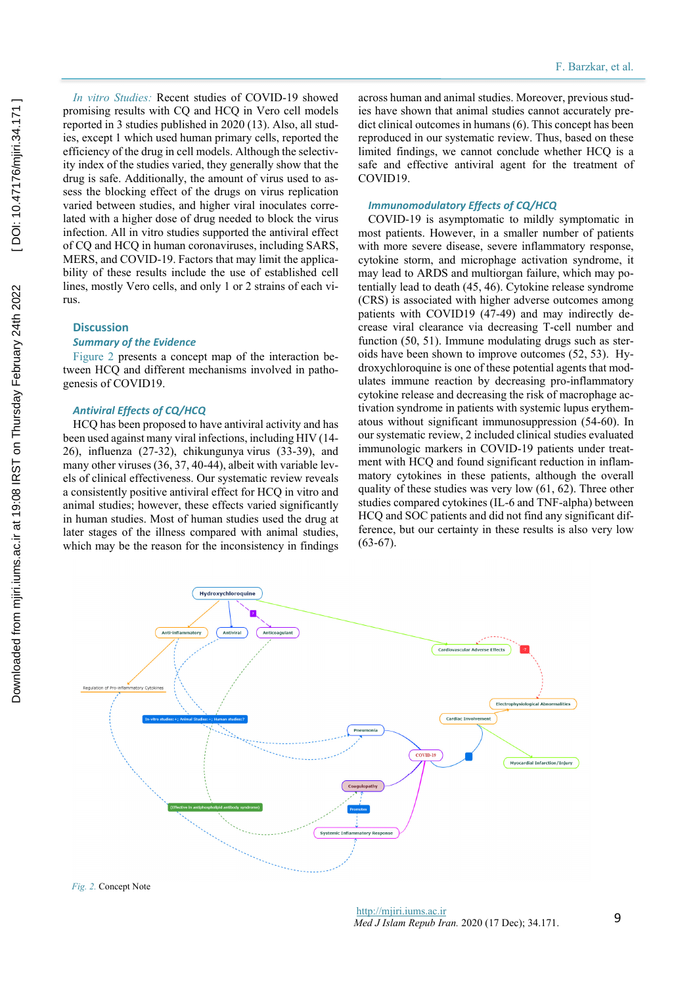*In vitro Studies:* Recent studies of COVID-19 showed promising results with CQ and HCQ in Vero cell models reported in 3 studies published in 2020 (13). Also, all studies, except 1 which used human primary cells, reported the efficiency of the drug in cell models. Although the selectivity index of the studies varied, they generally show that the drug is safe. Additionally, the amount of virus used to assess the blocking effect of the drugs on virus replication varied between studies, and higher viral inoculates correlated with a higher dose of drug needed to block the virus infection. All in vitro studies supported the antiviral effect of CQ and HCQ in human coronaviruses, including SARS, MERS, and COVID-19. Factors that may limit the applicability of these results include the use of established cell lines, mostly Vero cells, and only 1 or 2 strains of each virus.

# **Discussion**

#### *Summary of the Evidence*

Figure 2 presents a concept map of the interaction between HCQ and different mechanisms involved in pathogenesis of COVID19.

#### *Antiviral Effects of CQ/HCQ*

HCQ has been proposed to have antiviral activity and has been used against many viral infections, including HIV (14- 26), influenza (27-32), chikungunya virus (33-39), and many other viruses (36, 37, 40-44), albeit with variable levels of clinical effectiveness. Our systematic review reveals a consistently positive antiviral effect for HCQ in vitro and animal studies; however, these effects varied significantly in human studies. Most of human studies used the drug at later stages of the illness compared with animal studies, which may be the reason for the inconsistency in findings

across human and animal studies. Moreover, previous studies have shown that animal studies cannot accurately predict clinical outcomes in humans (6). This concept has been reproduced in our systematic review. Thus, based on these limited findings, we cannot conclude whether HCQ is a safe and effective antiviral agent for the treatment of COVID19.

#### *Immunomodulatory Effects of CQ/HCQ*

COVID-19 is asymptomatic to mildly symptomatic in most patients. However, in a smaller number of patients with more severe disease, severe inflammatory response, cytokine storm, and microphage activation syndrome, it may lead to ARDS and multiorgan failure, which may potentially lead to death (45, 46). Cytokine release syndrome (CRS) is associated with higher adverse outcomes among patients with COVID19 (47-49) and may indirectly decrease viral clearance via decreasing T-cell number and function (50, 51). Immune modulating drugs such as steroids have been shown to improve outcomes (52, 53). Hydroxychloroquine is one of these potential agents that modulates immune reaction by decreasing pro-inflammatory cytokine release and decreasing the risk of macrophage activation syndrome in patients with systemic lupus erythematous without significant immunosuppression (54-60). In our systematic review, 2 included clinical studies evaluated immunologic markers in COVID-19 patients under treatment with HCQ and found significant reduction in inflammatory cytokines in these patients, although the overall quality of these studies was very low (61, 62). Three other studies compared cytokines (IL-6 and TNF-alpha) between HCQ and SOC patients and did not find any significant difference, but our certainty in these results is also very low  $(63-67)$ .



*Fig. 2.* Concept Note

http://mjiri.iums.ac.ir *Med J Islam Repub Iran.* 2020 (17 Dec); 34.171.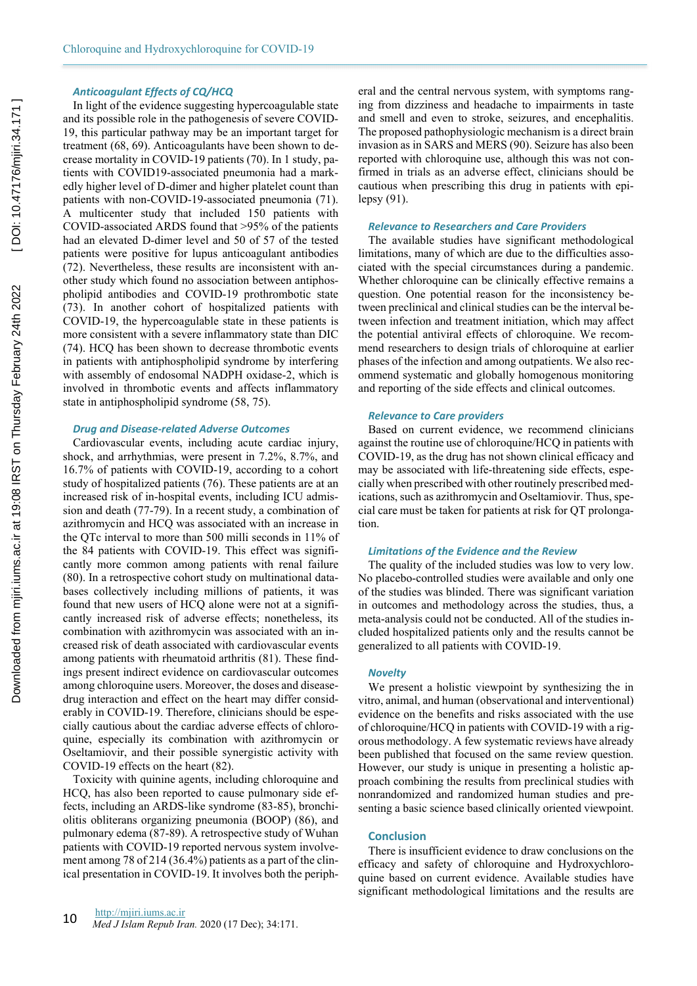#### *Anticoagulant Effects of CQ/HCQ*

In light of the evidence suggesting hypercoagulable state and its possible role in the pathogenesis of severe COVID-19, this particular pathway may be an important target for treatment (68, 69). Anticoagulants have been shown to decrease mortality in COVID-19 patients (70). In 1 study, patients with COVID19-associated pneumonia had a markedly higher level of D-dimer and higher platelet count than patients with non-COVID-19-associated pneumonia (71). A multicenter study that included 150 patients with COVID-associated ARDS found that >95% of the patients had an elevated D-dimer level and 50 of 57 of the tested patients were positive for lupus anticoagulant antibodies (72). Nevertheless, these results are inconsistent with another study which found no association between antiphospholipid antibodies and COVID-19 prothrombotic state (73). In another cohort of hospitalized patients with COVID-19, the hypercoagulable state in these patients is more consistent with a severe inflammatory state than DIC (74). HCQ has been shown to decrease thrombotic events in patients with antiphospholipid syndrome by interfering with assembly of endosomal NADPH oxidase-2, which is involved in thrombotic events and affects inflammatory state in antiphospholipid syndrome (58, 75).

#### *Drug and Disease-related Adverse Outcomes*

Cardiovascular events, including acute cardiac injury, shock, and arrhythmias, were present in 7.2%, 8.7%, and 16.7% of patients with COVID-19, according to a cohort study of hospitalized patients (76). These patients are at an increased risk of in-hospital events, including ICU admission and death (77-79). In a recent study, a combination of azithromycin and HCQ was associated with an increase in the QTc interval to more than 500 milli seconds in 11% of the 84 patients with COVID-19. This effect was significantly more common among patients with renal failure (80). In a retrospective cohort study on multinational databases collectively including millions of patients, it was found that new users of HCQ alone were not at a significantly increased risk of adverse effects; nonetheless, its combination with azithromycin was associated with an increased risk of death associated with cardiovascular events among patients with rheumatoid arthritis (81). These findings present indirect evidence on cardiovascular outcomes among chloroquine users. Moreover, the doses and diseasedrug interaction and effect on the heart may differ considerably in COVID-19. Therefore, clinicians should be especially cautious about the cardiac adverse effects of chloroquine, especially its combination with azithromycin or Oseltamiovir, and their possible synergistic activity with COVID-19 effects on the heart (82).

Toxicity with quinine agents, including chloroquine and HCQ, has also been reported to cause pulmonary side effects, including an ARDS-like syndrome (83-85), bronchiolitis obliterans organizing pneumonia (BOOP) (86), and pulmonary edema (87-89). A retrospective study of Wuhan patients with COVID-19 reported nervous system involvement among 78 of 214 (36.4%) patients as a part of the clinical presentation in COVID-19. It involves both the periph-

eral and the central nervous system, with symptoms ranging from dizziness and headache to impairments in taste and smell and even to stroke, seizures, and encephalitis. The proposed pathophysiologic mechanism is a direct brain invasion as in SARS and MERS (90). Seizure has also been reported with chloroquine use, although this was not confirmed in trials as an adverse effect, clinicians should be cautious when prescribing this drug in patients with epilepsy (91).

#### *Relevance to Researchers and Care Providers*

The available studies have significant methodological limitations, many of which are due to the difficulties associated with the special circumstances during a pandemic. Whether chloroquine can be clinically effective remains a question. One potential reason for the inconsistency between preclinical and clinical studies can be the interval between infection and treatment initiation, which may affect the potential antiviral effects of chloroquine. We recommend researchers to design trials of chloroquine at earlier phases of the infection and among outpatients. We also recommend systematic and globally homogenous monitoring and reporting of the side effects and clinical outcomes.

# *Relevance to Care providers*

Based on current evidence, we recommend clinicians against the routine use of chloroquine/HCQ in patients with COVID-19, as the drug has not shown clinical efficacy and may be associated with life-threatening side effects, especially when prescribed with other routinely prescribed medications, such as azithromycin and Oseltamiovir. Thus, special care must be taken for patients at risk for QT prolongation.

#### *Limitations of the Evidence and the Review*

The quality of the included studies was low to very low. No placebo-controlled studies were available and only one of the studies was blinded. There was significant variation in outcomes and methodology across the studies, thus, a meta-analysis could not be conducted. All of the studies included hospitalized patients only and the results cannot be generalized to all patients with COVID-19.

#### *Novelty*

We present a holistic viewpoint by synthesizing the in vitro, animal, and human (observational and interventional) evidence on the benefits and risks associated with the use of chloroquine/HCQ in patients with COVID-19 with a rigorous methodology. A few systematic reviews have already been published that focused on the same review question. However, our study is unique in presenting a holistic approach combining the results from preclinical studies with nonrandomized and randomized human studies and presenting a basic science based clinically oriented viewpoint.

#### **Conclusion**

There is insufficient evidence to draw conclusions on the efficacy and safety of chloroquine and Hydroxychloroquine based on current evidence. Available studies have significant methodological limitations and the results are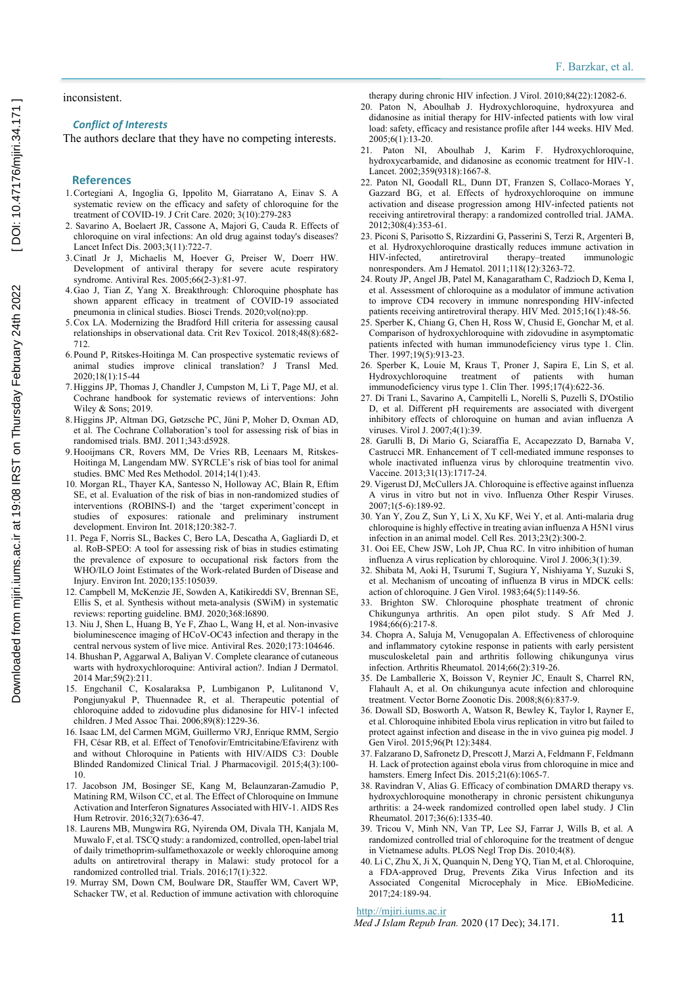#### inconsistent.

# *Conflict of Interests*

The authors declare that they have no competing interests.

#### **References**

- 1. Cortegiani A, Ingoglia G, Ippolito M, Giarratano A, Einav S. A systematic review on the efficacy and safety of chloroquine for the treatment of COVID-19. J Crit Care. 2020; 3(10):279-283
- 2. Savarino A, Boelaert JR, Cassone A, Majori G, Cauda R. Effects of chloroquine on viral infections: An old drug against today's diseases? Lancet Infect Dis. 2003;3(11):722-7.
- 3. Cinatl Jr J, Michaelis M, Hoever G, Preiser W, Doerr HW. Development of antiviral therapy for severe acute respiratory syndrome. Antiviral Res. 2005;66(2-3):81-97.
- 4. Gao J, Tian Z, Yang X. Breakthrough: Chloroquine phosphate has shown apparent efficacy in treatment of COVID-19 associated pneumonia in clinical studies. Biosci Trends. 2020;vol(no):pp.
- 5. Cox LA. Modernizing the Bradford Hill criteria for assessing causal relationships in observational data. Crit Rev Toxicol. 2018;48(8):682- 712.
- 6. Pound P, Ritskes-Hoitinga M. Can prospective systematic reviews of animal studies improve clinical translation? J Transl Med. 2020;18(1):15-44
- 7. Higgins JP, Thomas J, Chandler J, Cumpston M, Li T, Page MJ, et al. Cochrane handbook for systematic reviews of interventions: John Wiley  $&$  Sons: 2019.
- 8. Higgins JP, Altman DG, Gøtzsche PC, Jüni P, Moher D, Oxman AD, et al. The Cochrane Collaboration's tool for assessing risk of bias in randomised trials. BMJ. 2011;343:d5928.
- 9. Hooijmans CR, Rovers MM, De Vries RB, Leenaars M, Ritskes-Hoitinga M, Langendam MW. SYRCLE's risk of bias tool for animal studies. BMC Med Res Methodol. 2014;14(1):43.
- 10. Morgan RL, Thayer KA, Santesso N, Holloway AC, Blain R, Eftim SE, et al. Evaluation of the risk of bias in non-randomized studies of interventions (ROBINS-I) and the 'target experiment'concept in studies of exposures: rationale and preliminary instrument development. Environ Int. 2018;120:382-7.
- 11. Pega F, Norris SL, Backes C, Bero LA, Descatha A, Gagliardi D, et al. RoB-SPEO: A tool for assessing risk of bias in studies estimating the prevalence of exposure to occupational risk factors from the WHO/ILO Joint Estimates of the Work-related Burden of Disease and Injury. Environ Int. 2020;135:105039.
- 12. Campbell M, McKenzie JE, Sowden A, Katikireddi SV, Brennan SE, Ellis S, et al. Synthesis without meta-analysis (SWiM) in systematic reviews: reporting guideline. BMJ. 2020;368:l6890.
- 13. Niu J, Shen L, Huang B, Ye F, Zhao L, Wang H, et al. Non-invasive bioluminescence imaging of HCoV-OC43 infection and therapy in the central nervous system of live mice. Antiviral Res. 2020;173:104646.
- 14. Bhushan P, Aggarwal A, Baliyan V. Complete clearance of cutaneous warts with hydroxychloroquine: Antiviral action?. Indian J Dermatol. 2014 Mar;59(2):211.
- 15. Engchanil C, Kosalaraksa P, Lumbiganon P, Lulitanond V, Pongjunyakul P, Thuennadee R, et al. Therapeutic potential of chloroquine added to zidovudine plus didanosine for HIV-1 infected children. J Med Assoc Thai. 2006;89(8):1229-36.
- 16. Isaac LM, del Carmen MGM, Guillermo VRJ, Enrique RMM, Sergio FH, César RB, et al. Effect of Tenofovir/Emtricitabine/Efavirenz with and without Chloroquine in Patients with HIV/AIDS C3: Double Blinded Randomized Clinical Trial. J Pharmacovigil. 2015;4(3):100- 10.
- 17. Jacobson JM, Bosinger SE, Kang M, Belaunzaran-Zamudio P, Matining RM, Wilson CC, et al. The Effect of Chloroquine on Immune Activation and Interferon Signatures Associated with HIV-1. AIDS Res Hum Retrovir. 2016;32(7):636-47.
- 18. Laurens MB, Mungwira RG, Nyirenda OM, Divala TH, Kanjala M, Muwalo F, et al. TSCQ study: a randomized, controlled, open-label trial of daily trimethoprim-sulfamethoxazole or weekly chloroquine among adults on antiretroviral therapy in Malawi: study protocol for a randomized controlled trial. Trials. 2016;17(1):322.
- 19. Murray SM, Down CM, Boulware DR, Stauffer WM, Cavert WP, Schacker TW, et al. Reduction of immune activation with chloroquine

therapy during chronic HIV infection. J Virol. 2010;84(22):12082-6.

- 20. Paton N, Aboulhab J. Hydroxychloroquine, hydroxyurea and didanosine as initial therapy for HIV‐infected patients with low viral load: safety, efficacy and resistance profile after 144 weeks. HIV Med. 2005;6(1):13-20.
- 21. Paton NI, Aboulhab J, Karim F. Hydroxychloroquine, hydroxycarbamide, and didanosine as economic treatment for HIV-1. Lancet. 2002;359(9318):1667-8.
- 22. Paton NI, Goodall RL, Dunn DT, Franzen S, Collaco-Moraes Y, Gazzard BG, et al. Effects of hydroxychloroquine on immune activation and disease progression among HIV-infected patients not receiving antiretroviral therapy: a randomized controlled trial. JAMA. 2012;308(4):353-61.
- 23. Piconi S, Parisotto S, Rizzardini G, Passerini S, Terzi R, Argenteri B, et al. Hydroxychloroquine drastically reduces immune activation in HIV-infected, antiretroviral therapy–treated immunologic nonresponders. Am J Hematol. 2011;118(12):3263-72.
- 24. Routy JP, Angel JB, Patel M, Kanagaratham C, Radzioch D, Kema I, et al. Assessment of chloroquine as a modulator of immune activation to improve CD4 recovery in immune nonresponding HIV-infected patients receiving antiretroviral therapy. HIV Med. 2015;16(1):48-56.
- 25. Sperber K, Chiang G, Chen H, Ross W, Chusid E, Gonchar M, et al. Comparison of hydroxychloroquine with zidovudine in asymptomatic patients infected with human immunodeficiency virus type 1. Clin. Ther. 1997;19(5):913-23.
- 26. Sperber K, Louie M, Kraus T, Proner J, Sapira E, Lin S, et al. Hydroxychloroquine treatment of patients with human immunodeficiency virus type 1. Clin Ther. 1995;17(4):622-36.
- 27. Di Trani L, Savarino A, Campitelli L, Norelli S, Puzelli S, D'Ostilio D, et al. Different pH requirements are associated with divergent inhibitory effects of chloroquine on human and avian influenza A viruses. Virol J. 2007;4(1):39.
- 28. Garulli B, Di Mario G, Sciaraffia E, Accapezzato D, Barnaba V, Castrucci MR. Enhancement of T cell-mediated immune responses to whole inactivated influenza virus by chloroquine treatmentin vivo. Vaccine. 2013;31(13):1717-24.
- 29. Vigerust DJ, McCullers JA. Chloroquine is effective against influenza A virus in vitro but not in vivo. Influenza Other Respir Viruses. 2007;1(5‐6):189-92.
- 30. Yan Y, Zou Z, Sun Y, Li X, Xu KF, Wei Y, et al. Anti-malaria drug chloroquine is highly effective in treating avian influenza A H5N1 virus infection in an animal model. Cell Res. 2013;23(2):300-2.
- 31. Ooi EE, Chew JSW, Loh JP, Chua RC. In vitro inhibition of human influenza A virus replication by chloroquine. Virol J. 2006;3(1):39.
- 32. Shibata M, Aoki H, Tsurumi T, Sugiura Y, Nishiyama Y, Suzuki S, et al. Mechanism of uncoating of influenza B virus in MDCK cells: action of chloroquine. J Gen Virol. 1983;64(5):1149-56.
- 33. Brighton SW. Chloroquine phosphate treatment of chronic Chikungunya arthritis. An open pilot study. S Afr Med J. 1984;66(6):217-8.
- 34. Chopra A, Saluja M, Venugopalan A. Effectiveness of chloroquine and inflammatory cytokine response in patients with early persistent musculoskeletal pain and arthritis following chikungunya virus infection. Arthritis Rheumatol. 2014;66(2):319-26.
- 35. De Lamballerie X, Boisson V, Reynier JC, Enault S, Charrel RN, Flahault A, et al. On chikungunya acute infection and chloroquine treatment. Vector Borne Zoonotic Dis. 2008;8(6):837-9.
- 36. Dowall SD, Bosworth A, Watson R, Bewley K, Taylor I, Rayner E, et al. Chloroquine inhibited Ebola virus replication in vitro but failed to protect against infection and disease in the in vivo guinea pig model. J Gen Virol. 2015;96(Pt 12):3484.
- 37. Falzarano D, Safronetz D, Prescott J, Marzi A, Feldmann F, Feldmann H. Lack of protection against ebola virus from chloroquine in mice and hamsters. Emerg Infect Dis. 2015;21(6):1065-7.
- 38. Ravindran V, Alias G. Efficacy of combination DMARD therapy vs. hydroxychloroquine monotherapy in chronic persistent chikungunya arthritis: a 24-week randomized controlled open label study. J Clin Rheumatol. 2017;36(6):1335-40.
- 39. Tricou V, Minh NN, Van TP, Lee SJ, Farrar J, Wills B, et al. A randomized controlled trial of chloroquine for the treatment of dengue in Vietnamese adults. PLOS Negl Trop Dis. 2010;4(8).
- 40. Li C, Zhu X, Ji X, Quanquin N, Deng YQ, Tian M, et al. Chloroquine, a FDA-approved Drug, Prevents Zika Virus Infection and its Associated Congenital Microcephaly in Mice. EBioMedicine. 2017;24:189-94.

#### http://mjiri.iums.ac.ir

*Med J Islam Repub Iran.* 2020 (17 Dec); 34.171. 11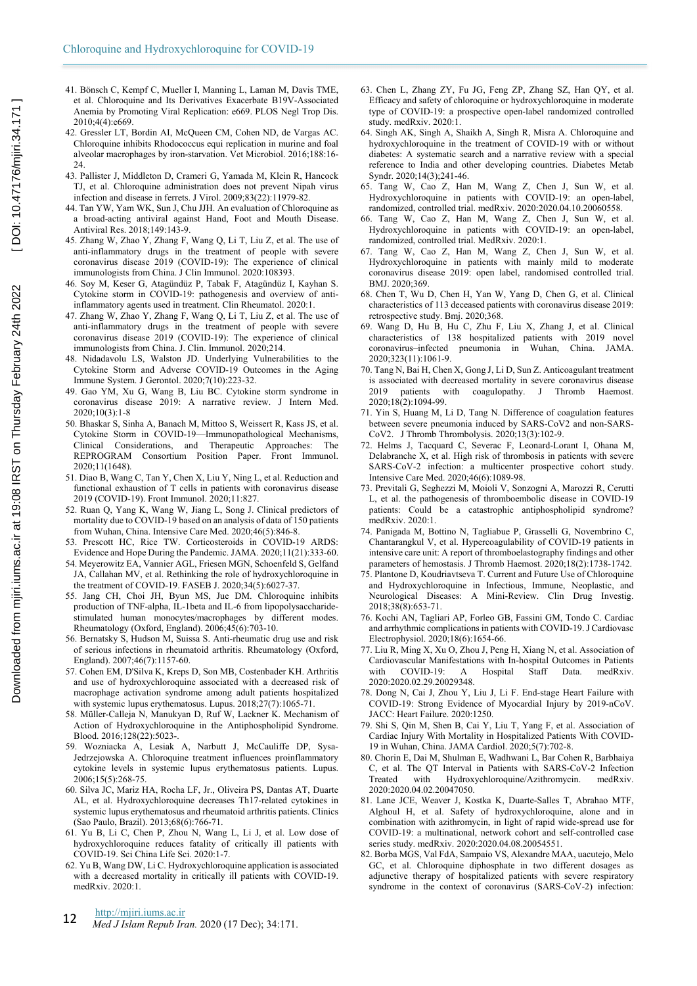- 41. Bönsch C, Kempf C, Mueller I, Manning L, Laman M, Davis TME, et al. Chloroquine and Its Derivatives Exacerbate B19V-Associated Anemia by Promoting Viral Replication: e669. PLOS Negl Trop Dis. 2010;4(4):e669.
- 42. Gressler LT, Bordin AI, McQueen CM, Cohen ND, de Vargas AC. Chloroquine inhibits Rhodococcus equi replication in murine and foal alveolar macrophages by iron-starvation. Vet Microbiol. 2016;188:16- 24.
- 43. Pallister J, Middleton D, Crameri G, Yamada M, Klein R, Hancock TJ, et al. Chloroquine administration does not prevent Nipah virus infection and disease in ferrets. J Virol. 2009;83(22):11979-82.
- 44. Tan YW, Yam WK, Sun J, Chu JJH. An evaluation of Chloroquine as a broad-acting antiviral against Hand, Foot and Mouth Disease. Antiviral Res. 2018;149:143-9.
- 45. Zhang W, Zhao Y, Zhang F, Wang Q, Li T, Liu Z, et al. The use of anti-inflammatory drugs in the treatment of people with severe coronavirus disease 2019 (COVID-19): The experience of clinical immunologists from China. J Clin Immunol. 2020:108393.
- 46. Soy M, Keser G, Atagündüz P, Tabak F, Atagündüz I, Kayhan S. Cytokine storm in COVID-19: pathogenesis and overview of antiinflammatory agents used in treatment. Clin Rheumatol. 2020:1.
- 47. Zhang W, Zhao Y, Zhang F, Wang Q, Li T, Liu Z, et al. The use of anti-inflammatory drugs in the treatment of people with severe coronavirus disease 2019 (COVID-19): The experience of clinical immunologists from China. J. Clin. Immunol. 2020;214.
- 48. Nidadavolu LS, Walston JD. Underlying Vulnerabilities to the Cytokine Storm and Adverse COVID-19 Outcomes in the Aging Immune System. J Gerontol. 2020;7(10):223-32.
- 49. Gao YM, Xu G, Wang B, Liu BC. Cytokine storm syndrome in coronavirus disease 2019: A narrative review. J Intern Med. 2020;10(3):1-8
- 50. Bhaskar S, Sinha A, Banach M, Mittoo S, Weissert R, Kass JS, et al. Cytokine Storm in COVID-19—Immunopathological Mechanisms, Clinical Considerations, and Therapeutic Approaches: The REPROGRAM Consortium Position Paper. Front Immunol. 2020;11(1648).
- 51. Diao B, Wang C, Tan Y, Chen X, Liu Y, Ning L, et al. Reduction and functional exhaustion of T cells in patients with coronavirus disease 2019 (COVID-19). Front Immunol. 2020;11:827.
- 52. Ruan Q, Yang K, Wang W, Jiang L, Song J. Clinical predictors of mortality due to COVID-19 based on an analysis of data of 150 patients from Wuhan, China. Intensive Care Med. 2020;46(5):846-8.
- 53. Prescott HC, Rice TW. Corticosteroids in COVID-19 ARDS: Evidence and Hope During the Pandemic. JAMA. 2020;11(21):333-60.
- 54. Meyerowitz EA, Vannier AGL, Friesen MGN, Schoenfeld S, Gelfand JA, Callahan MV, et al. Rethinking the role of hydroxychloroquine in the treatment of COVID-19. FASEB J. 2020;34(5):6027-37.
- 55. Jang CH, Choi JH, Byun MS, Jue DM. Chloroquine inhibits production of TNF-alpha, IL-1beta and IL-6 from lipopolysaccharidestimulated human monocytes/macrophages by different modes. Rheumatology (Oxford, England). 2006;45(6):703-10.
- 56. Bernatsky S, Hudson M, Suissa S. Anti-rheumatic drug use and risk of serious infections in rheumatoid arthritis. Rheumatology (Oxford, England). 2007;46(7):1157-60.
- 57. Cohen EM, D'Silva K, Kreps D, Son MB, Costenbader KH. Arthritis and use of hydroxychloroquine associated with a decreased risk of macrophage activation syndrome among adult patients hospitalized with systemic lupus erythematosus. Lupus. 2018;27(7):1065-71.
- 58. Müller-Calleja N, Manukyan D, Ruf W, Lackner K. Mechanism of Action of Hydroxychloroquine in the Antiphospholipid Syndrome. Blood. 2016;128(22):5023-.
- 59. Wozniacka A, Lesiak A, Narbutt J, McCauliffe DP, Sysa-Jedrzejowska A. Chloroquine treatment influences proinflammatory cytokine levels in systemic lupus erythematosus patients. Lupus. 2006;15(5):268-75.
- 60. Silva JC, Mariz HA, Rocha LF, Jr., Oliveira PS, Dantas AT, Duarte AL, et al. Hydroxychloroquine decreases Th17-related cytokines in systemic lupus erythematosus and rheumatoid arthritis patients. Clinics (Sao Paulo, Brazil). 2013;68(6):766-71.
- 61. Yu B, Li C, Chen P, Zhou N, Wang L, Li J, et al. Low dose of hydroxychloroquine reduces fatality of critically ill patients with COVID-19. Sci China Life Sci. 2020:1-7.
- 62. Yu B, Wang DW, Li C. Hydroxychloroquine application is associated with a decreased mortality in critically ill patients with COVID-19. medRxiv. 2020:1.

#### http://mjiri.iums.ac.ir

**12** *Med J Islam Repub Iran.* 2020 (17 Dec); 34:171.

- 63. Chen L, Zhang ZY, Fu JG, Feng ZP, Zhang SZ, Han QY, et al. Efficacy and safety of chloroquine or hydroxychloroquine in moderate type of COVID-19: a prospective open-label randomized controlled study. medRxiv. 2020:1.
- 64. Singh AK, Singh A, Shaikh A, Singh R, Misra A. Chloroquine and hydroxychloroquine in the treatment of COVID-19 with or without diabetes: A systematic search and a narrative review with a special reference to India and other developing countries. Diabetes Metab Syndr. 2020;14(3);241-46.
- 65. Tang W, Cao Z, Han M, Wang Z, Chen J, Sun W, et al. Hydroxychloroquine in patients with COVID-19: an open-label, randomized, controlled trial. medRxiv. 2020:2020.04.10.20060558.
- 66. Tang W, Cao Z, Han M, Wang Z, Chen J, Sun W, et al. Hydroxychloroquine in patients with COVID-19: an open-label, randomized, controlled trial. MedRxiv. 2020:1.
- 67. Tang W, Cao Z, Han M, Wang Z, Chen J, Sun W, et al. Hydroxychloroquine in patients with mainly mild to moderate coronavirus disease 2019: open label, randomised controlled trial. BMJ. 2020;369.
- 68. Chen T, Wu D, Chen H, Yan W, Yang D, Chen G, et al. Clinical characteristics of 113 deceased patients with coronavirus disease 2019: retrospective study. Bmj. 2020;368.
- 69. Wang D, Hu B, Hu C, Zhu F, Liu X, Zhang J, et al. Clinical characteristics of 138 hospitalized patients with 2019 novel coronavirus–infected pneumonia in Wuhan, China. JAMA. 2020;323(11):1061-9.
- 70. Tang N, Bai H, Chen X, Gong J, Li D, Sun Z. Anticoagulant treatment is associated with decreased mortality in severe coronavirus disease 2019 patients with coagulopathy. J Thromb Haemost. 2020;18(2):1094-99.
- 71. Yin S, Huang M, Li D, Tang N. Difference of coagulation features between severe pneumonia induced by SARS-CoV2 and non-SARS-CoV2. J Thromb Thrombolysis. 2020;13(3):102-9.
- 72. Helms J, Tacquard C, Severac F, Leonard-Lorant I, Ohana M, Delabranche X, et al. High risk of thrombosis in patients with severe SARS-CoV-2 infection: a multicenter prospective cohort study. Intensive Care Med. 2020;46(6):1089-98.
- 73. Previtali G, Seghezzi M, Moioli V, Sonzogni A, Marozzi R, Cerutti L, et al. the pathogenesis of thromboembolic disease in COVID-19 patients: Could be a catastrophic antiphospholipid syndrome? medRxiv. 2020:1.
- 74. Panigada M, Bottino N, Tagliabue P, Grasselli G, Novembrino C, Chantarangkul V, et al. Hypercoagulability of COVID-19 patients in intensive care unit: A report of thromboelastography findings and other parameters of hemostasis. J Thromb Haemost. 2020;18(2):1738-1742.
- 75. Plantone D, Koudriavtseva T. Current and Future Use of Chloroquine and Hydroxychloroquine in Infectious, Immune, Neoplastic, and Neurological Diseases: A Mini-Review. Clin Drug Investig. 2018;38(8):653-71.
- 76. Kochi AN, Tagliari AP, Forleo GB, Fassini GM, Tondo C. Cardiac and arrhythmic complications in patients with COVID-19. J Cardiovasc Electrophysiol. 2020;18(6):1654-66.
- 77. Liu R, Ming X, Xu O, Zhou J, Peng H, Xiang N, et al. Association of Cardiovascular Manifestations with In-hospital Outcomes in Patients with COVID-19: A Hospital Staff Data, medRxiv. 2020:2020.02.29.20029348.
- 78. Dong N, Cai J, Zhou Y, Liu J, Li F. End-stage Heart Failure with COVID-19: Strong Evidence of Myocardial Injury by 2019-nCoV. JACC: Heart Failure. 2020:1250.
- 79. Shi S, Qin M, Shen B, Cai Y, Liu T, Yang F, et al. Association of Cardiac Injury With Mortality in Hospitalized Patients With COVID-19 in Wuhan, China. JAMA Cardiol. 2020;5(7):702-8.
- 80. Chorin E, Dai M, Shulman E, Wadhwani L, Bar Cohen R, Barbhaiya C, et al. The QT Interval in Patients with SARS-CoV-2 Infection Treated with Hydroxychloroquine/Azithromycin. medRxiv. 2020:2020.04.02.20047050.
- 81. Lane JCE, Weaver J, Kostka K, Duarte-Salles T, Abrahao MTF, Alghoul H, et al. Safety of hydroxychloroquine, alone and in combination with azithromycin, in light of rapid wide-spread use for COVID-19: a multinational, network cohort and self-controlled case series study. medRxiv. 2020:2020.04.08.20054551.
- 82. Borba MGS, Val FdA, Sampaio VS, Alexandre MAA, uacutejo, Melo GC, et al. Chloroquine diphosphate in two different dosages as adjunctive therapy of hospitalized patients with severe respiratory syndrome in the context of coronavirus (SARS-CoV-2) infection: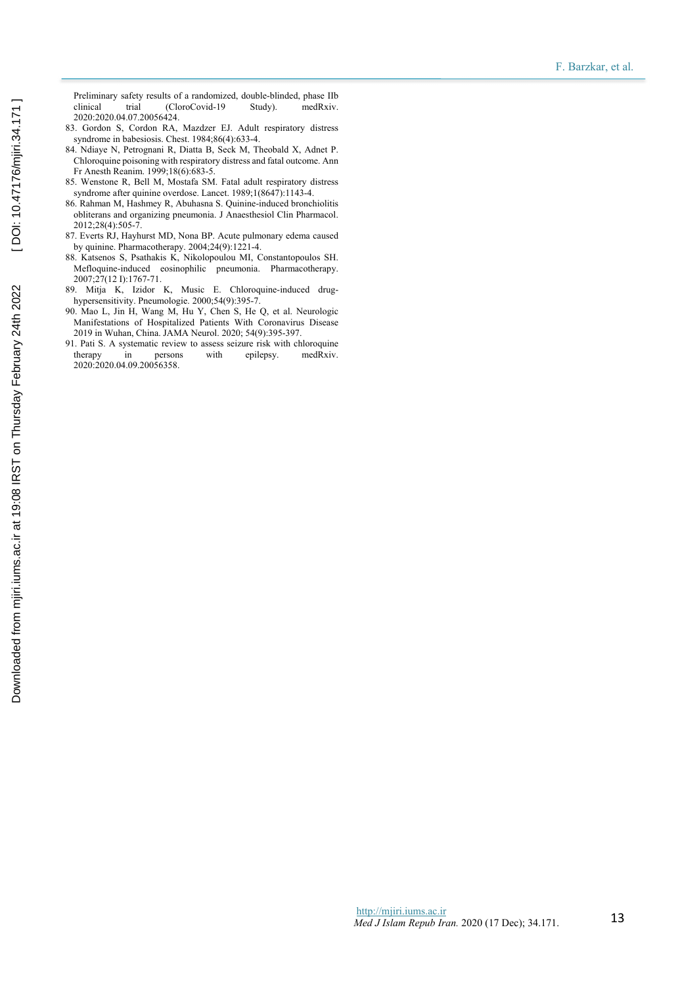Preliminary safety results of a randomized, double-blinded, phase IIb clinical trial (CloroCovid-19 Study). medRxiv. 2020:2020.04.07.20056424.

- 83. Gordon S, Cordon RA, Mazdzer EJ. Adult respiratory distress syndrome in babesiosis. Chest. 1984;86(4):633-4.
- 84. Ndiaye N, Petrognani R, Diatta B, Seck M, Theobald X, Adnet P. Chloroquine poisoning with respiratory distress and fatal outcome. Ann Fr Anesth Reanim. 1999;18(6):683-5.
- 85. Wenstone R, Bell M, Mostafa SM. Fatal adult respiratory distress syndrome after quinine overdose. Lancet. 1989;1(8647):1143-4.
- 86. Rahman M, Hashmey R, Abuhasna S. Quinine-induced bronchiolitis obliterans and organizing pneumonia. J Anaesthesiol Clin Pharmacol. 2012;28(4):505-7.
- 87. Everts RJ, Hayhurst MD, Nona BP. Acute pulmonary edema caused by quinine. Pharmacotherapy. 2004;24(9):1221-4.
- 88. Katsenos S, Psathakis K, Nikolopoulou MI, Constantopoulos SH. Mefloquine-induced eosinophilic pneumonia. Pharmacotherapy. 2007;27(12 I):1767-71.
- 89. Mitja K, Izidor K, Music E. Chloroquine-induced drughypersensitivity. Pneumologie. 2000;54(9):395-7.
- 90. Mao L, Jin H, Wang M, Hu Y, Chen S, He Q, et al. Neurologic Manifestations of Hospitalized Patients With Coronavirus Disease 2019 in Wuhan, China. JAMA Neurol. 2020; 54(9):395-397.
- 91. Pati S. A systematic review to assess seizure risk with chloroquine<br>therapy in persons with epilepsy medRxiv. persons 2020:2020.04.09.20056358.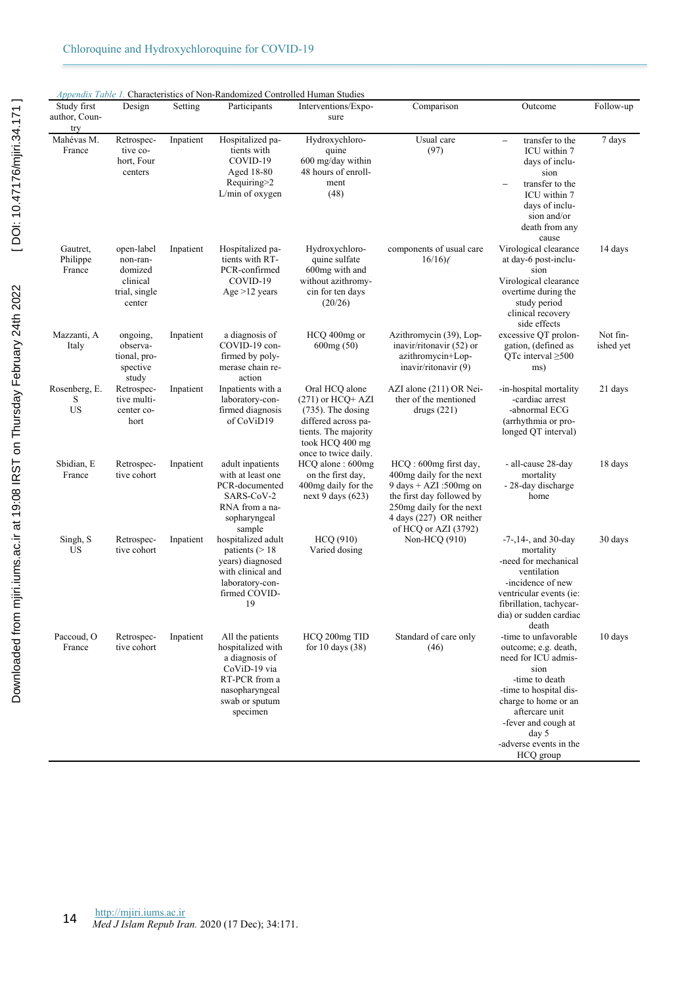| Study first                    | Design                                                                   | Setting   | Participants                                                                                                                             | Interventions/Expo-                                                                                                                                     | Comparison                                                                                                                                                                             | Outcome                                                                                                                                                                                                                                  | Follow-up             |
|--------------------------------|--------------------------------------------------------------------------|-----------|------------------------------------------------------------------------------------------------------------------------------------------|---------------------------------------------------------------------------------------------------------------------------------------------------------|----------------------------------------------------------------------------------------------------------------------------------------------------------------------------------------|------------------------------------------------------------------------------------------------------------------------------------------------------------------------------------------------------------------------------------------|-----------------------|
| author, Coun-<br>try           |                                                                          |           |                                                                                                                                          | sure                                                                                                                                                    |                                                                                                                                                                                        |                                                                                                                                                                                                                                          |                       |
| Mahévas M.<br>France           | Retrospec-<br>tive co-<br>hort, Four<br>centers                          | Inpatient | Hospitalized pa-<br>tients with<br>COVID-19<br>Aged 18-80<br>Requiring>2<br>L/min of oxygen                                              | Hydroxychloro-<br>quine<br>600 mg/day within<br>48 hours of enroll-<br>ment<br>(48)                                                                     | Usual care<br>(97)                                                                                                                                                                     | transfer to the<br>$\qquad \qquad -$<br>ICU within 7<br>days of inclu-<br>sion<br>transfer to the<br>ICU within 7<br>days of inclu-<br>sion and/or<br>death from any<br>cause                                                            | 7 days                |
| Gautret,<br>Philippe<br>France | open-label<br>non-ran-<br>domized<br>clinical<br>trial, single<br>center | Inpatient | Hospitalized pa-<br>tients with RT-<br>PCR-confirmed<br>COVID-19<br>Age $>12$ years                                                      | Hydroxychloro-<br>quine sulfate<br>600mg with and<br>without azithromy-<br>cin for ten days<br>(20/26)                                                  | components of usual care<br>16/16                                                                                                                                                      | Virological clearance<br>at day-6 post-inclu-<br>sion<br>Virological clearance<br>overtime during the<br>study period<br>clinical recovery<br>side effects                                                                               | 14 days               |
| Mazzanti, A<br>Italy           | ongoing,<br>observa-<br>tional, pro-<br>spective<br>study                | Inpatient | a diagnosis of<br>COVID-19 con-<br>firmed by poly-<br>merase chain re-<br>action                                                         | HCQ 400mg or<br>600mg(50)                                                                                                                               | Azithromycin (39), Lop-<br>inavir/ritonavir (52) or<br>azithromycin+Lop-<br>inavir/ritonavir (9)                                                                                       | excessive QT prolon-<br>gation, (defined as<br>QTc interval $\geq 500$<br>ms)                                                                                                                                                            | Not fin-<br>ished yet |
| Rosenberg, E.<br>S<br>US       | Retrospec-<br>tive multi-<br>center co-<br>hort                          | Inpatient | Inpatients with a<br>laboratory-con-<br>firmed diagnosis<br>of CoViD19                                                                   | Oral HCQ alone<br>$(271)$ or HCQ+ AZI<br>$(735)$ . The dosing<br>differed across pa-<br>tients. The majority<br>took HCQ 400 mg<br>once to twice daily. | AZI alone (211) OR Nei-<br>ther of the mentioned<br>drugs $(221)$                                                                                                                      | -in-hospital mortality<br>-cardiac arrest<br>-abnormal ECG<br>(arrhythmia or pro-<br>longed QT interval)                                                                                                                                 | 21 days               |
| Sbidian, E<br>France           | Retrospec-<br>tive cohort                                                | Inpatient | adult inpatients<br>with at least one<br>PCR-documented<br>SARS-CoV-2<br>RNA from a na-<br>sopharyngeal<br>sample                        | HCQ alone : 600mg<br>on the first day,<br>400mg daily for the<br>next 9 days $(623)$                                                                    | HCQ: 600mg first day,<br>400mg daily for the next<br>9 days + AZI:500mg on<br>the first day followed by<br>250mg daily for the next<br>4 days (227) OR neither<br>of HCQ or AZI (3792) | - all-cause 28-day<br>mortality<br>- 28-day discharge<br>home                                                                                                                                                                            | 18 days               |
| Singh, S<br>US                 | Retrospec-<br>tive cohort                                                | Inpatient | hospitalized adult<br>patients $(>18$<br>vears) diagnosed<br>with clinical and<br>laboratory-con-<br>firmed COVID-<br>19                 | <b>HCQ (910)</b><br>Varied dosing                                                                                                                       | Non-HCQ (910)                                                                                                                                                                          | $-7$ -, 14-, and 30-day<br>mortality<br>-need for mechanical<br>ventilation<br>-incidence of new<br>ventricular events (ie:<br>fibrillation, tachycar-<br>dia) or sudden cardiac<br>death                                                | 30 days               |
| Paccoud, O<br>France           | Retrospec-<br>tive cohort                                                | Inpatient | All the patients<br>hospitalized with<br>a diagnosis of<br>CoViD-19 via<br>RT-PCR from a<br>nasopharyngeal<br>swab or sputum<br>specimen | HCQ 200mg TID<br>for 10 days $(38)$                                                                                                                     | Standard of care only<br>(46)                                                                                                                                                          | -time to unfavorable<br>outcome; e.g. death,<br>need for ICU admis-<br>sion<br>-time to death<br>-time to hospital dis-<br>charge to home or an<br>aftercare unit<br>-fever and cough at<br>day 5<br>-adverse events in the<br>HCQ group | 10 days               |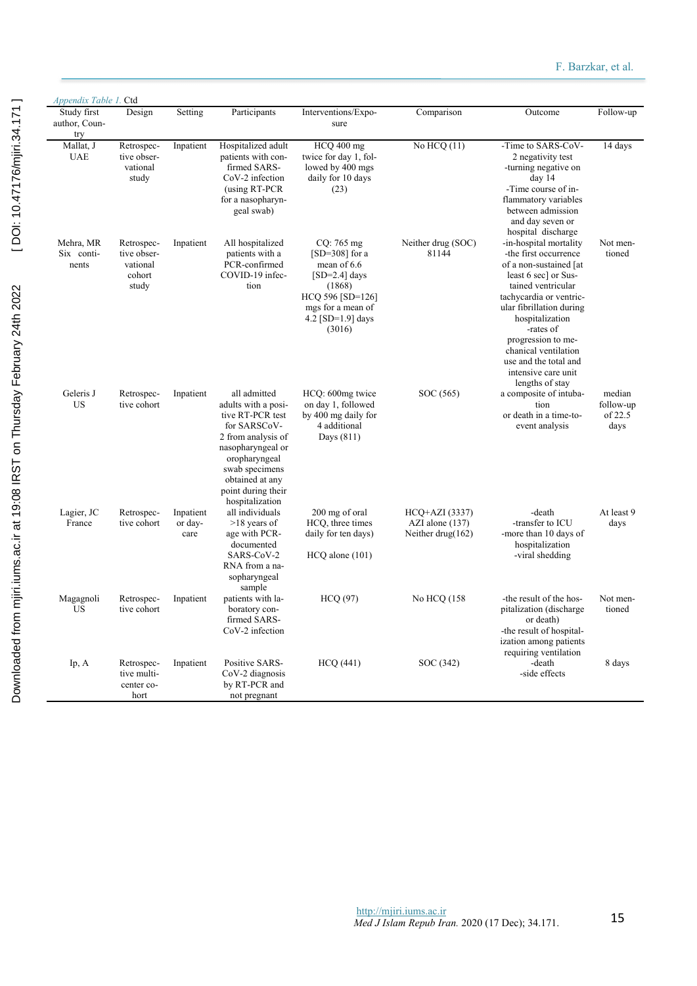| Study first<br>author, Coun-<br>try | Design                                                   | Setting                      | Participants                                                                                                                                                                                                      | Interventions/Expo-<br>sure                                                                                                                          | Comparison                                                | Outcome                                                                                                                                                                                                                                                                                                                         | Follow-up                              |
|-------------------------------------|----------------------------------------------------------|------------------------------|-------------------------------------------------------------------------------------------------------------------------------------------------------------------------------------------------------------------|------------------------------------------------------------------------------------------------------------------------------------------------------|-----------------------------------------------------------|---------------------------------------------------------------------------------------------------------------------------------------------------------------------------------------------------------------------------------------------------------------------------------------------------------------------------------|----------------------------------------|
| Mallat, J<br><b>UAE</b>             | Retrospec-<br>tive obser-<br>vational<br>study           | Inpatient                    | Hospitalized adult<br>patients with con-<br>firmed SARS-<br>CoV-2 infection<br>(using RT-PCR<br>for a nasopharyn-<br>geal swab)                                                                                   | HCQ 400 mg<br>twice for day 1, fol-<br>lowed by 400 mgs<br>daily for 10 days<br>(23)                                                                 | No $HCQ(11)$                                              | -Time to SARS-CoV-<br>2 negativity test<br>-turning negative on<br>day 14<br>-Time course of in-<br>flammatory variables<br>between admission<br>and day seven or<br>hospital discharge                                                                                                                                         | 14 days                                |
| Mehra, MR<br>Six conti-<br>nents    | Retrospec-<br>tive obser-<br>vational<br>cohort<br>study | Inpatient                    | All hospitalized<br>patients with a<br>PCR-confirmed<br>COVID-19 infec-<br>tion                                                                                                                                   | $CQ: 765$ mg<br>$[SD=308]$ for a<br>mean of 6.6<br>$[SD=2.4]$ days<br>(1868)<br>HCQ 596 [SD=126]<br>mgs for a mean of<br>4.2 [SD=1.9] days<br>(3016) | Neither drug (SOC)<br>81144                               | -in-hospital mortality<br>-the first occurrence<br>of a non-sustained [at<br>least 6 sec] or Sus-<br>tained ventricular<br>tachycardia or ventric-<br>ular fibrillation during<br>hospitalization<br>-rates of<br>progression to me-<br>chanical ventilation<br>use and the total and<br>intensive care unit<br>lengths of stay | Not men-<br>tioned                     |
| Geleris J<br><b>US</b>              | Retrospec-<br>tive cohort                                | Inpatient                    | all admitted<br>adults with a posi-<br>tive RT-PCR test<br>for SARSCoV-<br>2 from analysis of<br>nasopharyngeal or<br>oropharyngeal<br>swab specimens<br>obtained at any<br>point during their<br>hospitalization | HCQ: 600mg twice<br>on day 1, followed<br>by 400 mg daily for<br>4 additional<br>Days $(811)$                                                        | SOC (565)                                                 | a composite of intuba-<br>tion<br>or death in a time-to-<br>event analysis                                                                                                                                                                                                                                                      | median<br>follow-up<br>of 22.5<br>days |
| Lagier, JC<br>France                | Retrospec-<br>tive cohort                                | Inpatient<br>or day-<br>care | all individuals<br>$>18$ years of<br>age with PCR-<br>documented<br>SARS-CoV-2<br>RNA from a na-<br>sopharyngeal<br>sample                                                                                        | 200 mg of oral<br>HCQ, three times<br>daily for ten days)<br>$HCQ$ alone $(101)$                                                                     | HCQ+AZI (3337)<br>AZI alone (137)<br>Neither drug $(162)$ | -death<br>-transfer to ICU<br>-more than 10 days of<br>hospitalization<br>-viral shedding                                                                                                                                                                                                                                       | At least 9<br>days                     |
| Magagnoli<br><b>US</b>              | Retrospec-<br>tive cohort                                | Inpatient                    | patients with la-<br>boratory con-<br>firmed SARS-<br>CoV-2 infection                                                                                                                                             | <b>HCQ (97)</b>                                                                                                                                      | No HCQ (158                                               | -the result of the hos-<br>pitalization (discharge)<br>or death)<br>-the result of hospital-<br>ization among patients<br>requiring ventilation                                                                                                                                                                                 | Not men-<br>tioned                     |
| Ip, A                               | Retrospec-<br>tive multi-<br>center co-<br>hort          | Inpatient                    | Positive SARS-<br>CoV-2 diagnosis<br>by RT-PCR and<br>not pregnant                                                                                                                                                | <b>HCQ</b> (441)                                                                                                                                     | SOC (342)                                                 | -death<br>-side effects                                                                                                                                                                                                                                                                                                         | 8 days                                 |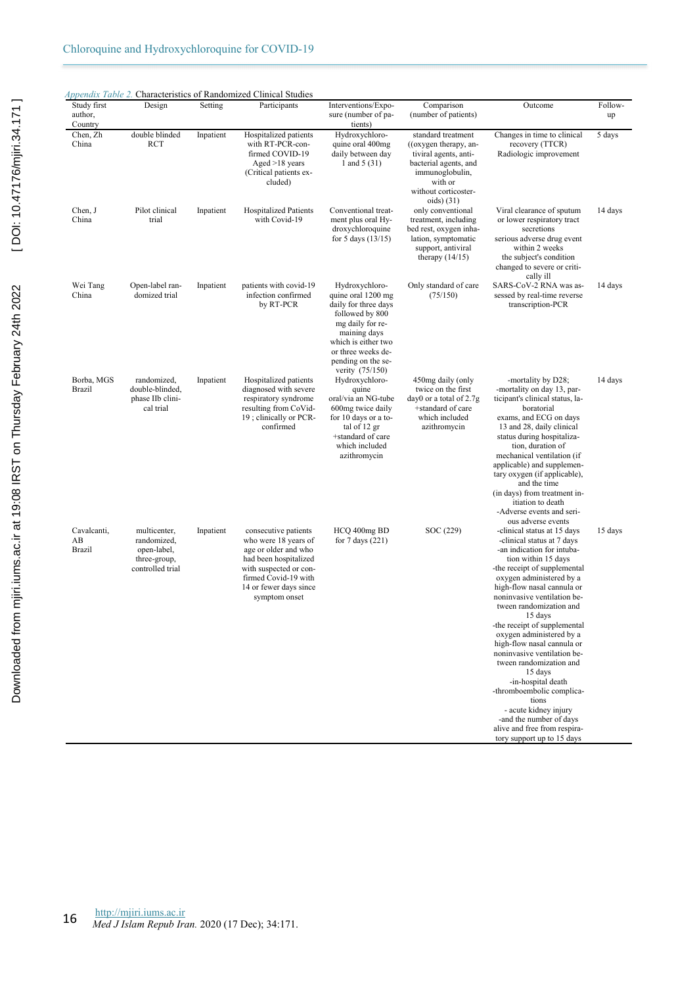| Study first<br>author,<br>Country  | Design                                                                         | Setting   | Participants                                                                                                                                                                               | Interventions/Expo-<br>sure (number of pa-<br>tients)                                                                                                                                                     | Comparison<br>(number of patients)                                                                                                                                 | Outcome                                                                                                                                                                                                                                                                                                                                                                                                                                                                                                                                                                                                                    | Follow-<br>up |
|------------------------------------|--------------------------------------------------------------------------------|-----------|--------------------------------------------------------------------------------------------------------------------------------------------------------------------------------------------|-----------------------------------------------------------------------------------------------------------------------------------------------------------------------------------------------------------|--------------------------------------------------------------------------------------------------------------------------------------------------------------------|----------------------------------------------------------------------------------------------------------------------------------------------------------------------------------------------------------------------------------------------------------------------------------------------------------------------------------------------------------------------------------------------------------------------------------------------------------------------------------------------------------------------------------------------------------------------------------------------------------------------------|---------------|
| Chen, Zh<br>China                  | double blinded<br>RCT                                                          | Inpatient | Hospitalized patients<br>with RT-PCR-con-<br>firmed COVID-19<br>Aged $>18$ years<br>(Critical patients ex-<br>cluded)                                                                      | Hydroxychloro-<br>quine oral 400mg<br>daily between day<br>1 and $5(31)$                                                                                                                                  | standard treatment<br>((oxygen therapy, an-<br>tiviral agents, anti-<br>bacterial agents, and<br>immunoglobulin,<br>with or<br>without corticoster-<br>oids $(31)$ | Changes in time to clinical<br>recovery (TTCR)<br>Radiologic improvement                                                                                                                                                                                                                                                                                                                                                                                                                                                                                                                                                   | 5 days        |
| Chen, J<br>China                   | Pilot clinical<br>trial                                                        | Inpatient | <b>Hospitalized Patients</b><br>with Covid-19                                                                                                                                              | Conventional treat-<br>ment plus oral Hy-<br>droxychloroquine<br>for 5 days $(13/15)$                                                                                                                     | only conventional<br>treatment, including<br>bed rest, oxygen inha-<br>lation, symptomatic<br>support, antiviral<br>therapy $(14/15)$                              | Viral clearance of sputum<br>or lower respiratory tract<br>secretions<br>serious adverse drug event<br>within 2 weeks<br>the subject's condition<br>changed to severe or criti-<br>cally ill                                                                                                                                                                                                                                                                                                                                                                                                                               | 14 days       |
| Wei Tang<br>China                  | Open-label ran-<br>domized trial                                               | Inpatient | patients with covid-19<br>infection confirmed<br>by RT-PCR                                                                                                                                 | Hydroxychloro-<br>quine oral 1200 mg<br>daily for three days<br>followed by 800<br>mg daily for re-<br>maining days<br>which is either two<br>or three weeks de-<br>pending on the se-<br>verity (75/150) | Only standard of care<br>(75/150)                                                                                                                                  | SARS-CoV-2 RNA was as-<br>sessed by real-time reverse<br>transcription-PCR                                                                                                                                                                                                                                                                                                                                                                                                                                                                                                                                                 | 14 days       |
| Borba, MGS<br><b>Brazil</b>        | randomized.<br>double-blinded,<br>phase IIb clini-<br>cal trial                | Inpatient | Hospitalized patients<br>diagnosed with severe<br>respiratory syndrome<br>resulting from CoVid-<br>19; clinically or PCR-<br>confirmed                                                     | Hydroxychloro-<br>quine<br>oral/via an NG-tube<br>600mg twice daily<br>for 10 days or a to-<br>tal of 12 gr<br>+standard of care<br>which included<br>azithromycin                                        | 450mg daily (only<br>twice on the first<br>day0 or a total of $2.7g$<br>+standard of care<br>which included<br>azithromycin                                        | -mortality by D28;<br>-mortality on day 13, par-<br>ticipant's clinical status, la-<br>boratorial<br>exams, and ECG on days<br>13 and 28, daily clinical<br>status during hospitaliza-<br>tion, duration of<br>mechanical ventilation (if<br>applicable) and supplemen-<br>tary oxygen (if applicable),<br>and the time<br>(in days) from treatment in-<br>itiation to death<br>-Adverse events and seri-<br>ous adverse events                                                                                                                                                                                            | 14 days       |
| Cavalcanti,<br>AB<br><b>Brazil</b> | multicenter,<br>randomized,<br>open-label,<br>three-group,<br>controlled trial | Inpatient | consecutive patients<br>who were 18 years of<br>age or older and who<br>had been hospitalized<br>with suspected or con-<br>firmed Covid-19 with<br>14 or fewer days since<br>symptom onset | HCQ 400mg BD<br>for $7$ days $(221)$                                                                                                                                                                      | SOC (229)                                                                                                                                                          | -clinical status at 15 days<br>-clinical status at 7 days<br>-an indication for intuba-<br>tion within 15 days<br>-the receipt of supplemental<br>oxygen administered by a<br>high-flow nasal cannula or<br>noninvasive ventilation be-<br>tween randomization and<br>15 days<br>-the receipt of supplemental<br>oxygen administered by a<br>high-flow nasal cannula or<br>noninvasive ventilation be-<br>tween randomization and<br>15 days<br>-in-hospital death<br>-thromboembolic complica-<br>tions<br>- acute kidney injury<br>-and the number of days<br>alive and free from respira-<br>tory support up to 15 days | 15 days       |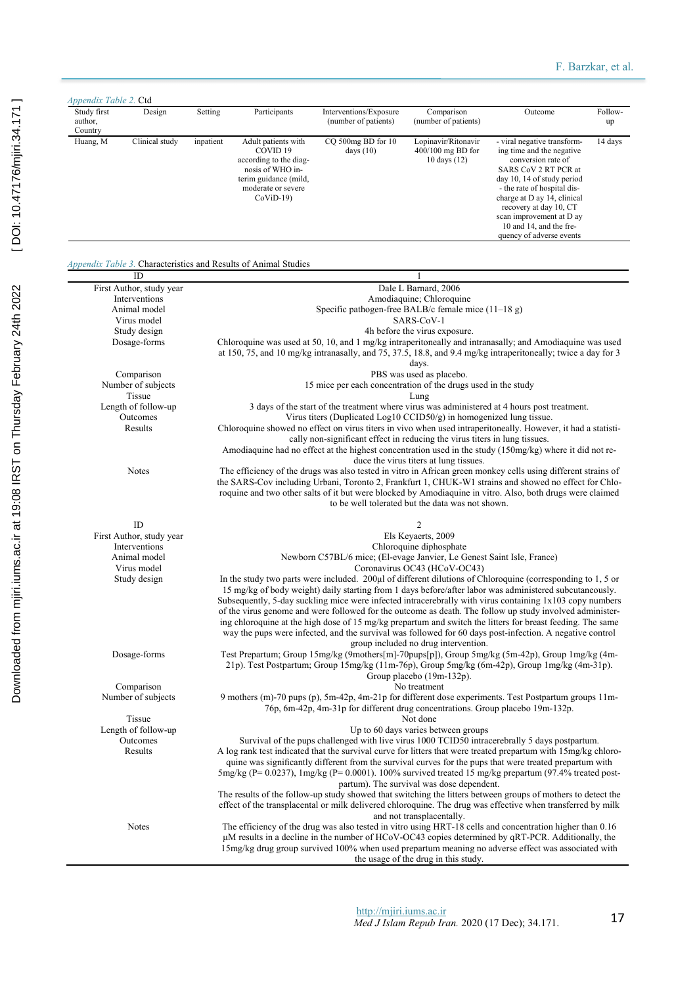| Appendix Table 2. Ctd             |                                  |           |                                                                                                                                                                                                                                                                                                                                                                                                                                                                                          |                                                                                |                                                          |                                                                                                                                                                                                                                                                                                                                                                                                                                                                                                                                                                                                                                                                          |               |  |  |  |  |
|-----------------------------------|----------------------------------|-----------|------------------------------------------------------------------------------------------------------------------------------------------------------------------------------------------------------------------------------------------------------------------------------------------------------------------------------------------------------------------------------------------------------------------------------------------------------------------------------------------|--------------------------------------------------------------------------------|----------------------------------------------------------|--------------------------------------------------------------------------------------------------------------------------------------------------------------------------------------------------------------------------------------------------------------------------------------------------------------------------------------------------------------------------------------------------------------------------------------------------------------------------------------------------------------------------------------------------------------------------------------------------------------------------------------------------------------------------|---------------|--|--|--|--|
| Study first<br>author,<br>Country | Design                           | Setting   | Participants                                                                                                                                                                                                                                                                                                                                                                                                                                                                             | Interventions/Exposure<br>(number of patients)                                 | Comparison<br>(number of patients)                       | Outcome                                                                                                                                                                                                                                                                                                                                                                                                                                                                                                                                                                                                                                                                  | Follow-<br>up |  |  |  |  |
| Huang, M                          | Clinical study                   | inpatient | Adult patients with<br>COVID <sub>19</sub><br>according to the diag-<br>nosis of WHO in-<br>terim guidance (mild,<br>moderate or severe<br>$CoViD-19$                                                                                                                                                                                                                                                                                                                                    | CQ 500mg BD for 10<br>days $(10)$                                              | Lopinavir/Ritonavir<br>400/100 mg BD for<br>10 days (12) | - viral negative transform-<br>ing time and the negative<br>conversion rate of<br>SARS CoV 2 RT PCR at<br>day 10, 14 of study period<br>- the rate of hospital dis-<br>charge at D ay 14, clinical<br>recovery at day 10, CT<br>scan improvement at D ay<br>10 and 14, and the fre-<br>quency of adverse events                                                                                                                                                                                                                                                                                                                                                          | 14 days       |  |  |  |  |
|                                   | ID                               |           | Appendix Table 3. Characteristics and Results of Animal Studies                                                                                                                                                                                                                                                                                                                                                                                                                          |                                                                                | 1                                                        |                                                                                                                                                                                                                                                                                                                                                                                                                                                                                                                                                                                                                                                                          |               |  |  |  |  |
|                                   | First Author, study year         |           |                                                                                                                                                                                                                                                                                                                                                                                                                                                                                          |                                                                                | Dale L Barnard, 2006                                     |                                                                                                                                                                                                                                                                                                                                                                                                                                                                                                                                                                                                                                                                          |               |  |  |  |  |
|                                   | Interventions                    |           |                                                                                                                                                                                                                                                                                                                                                                                                                                                                                          |                                                                                | Amodiaquine; Chloroquine                                 |                                                                                                                                                                                                                                                                                                                                                                                                                                                                                                                                                                                                                                                                          |               |  |  |  |  |
|                                   | Animal model                     |           |                                                                                                                                                                                                                                                                                                                                                                                                                                                                                          | Specific pathogen-free BALB/c female mice $(11-18)$ g)                         |                                                          |                                                                                                                                                                                                                                                                                                                                                                                                                                                                                                                                                                                                                                                                          |               |  |  |  |  |
|                                   | Virus model                      |           |                                                                                                                                                                                                                                                                                                                                                                                                                                                                                          |                                                                                | SARS-CoV-1                                               |                                                                                                                                                                                                                                                                                                                                                                                                                                                                                                                                                                                                                                                                          |               |  |  |  |  |
|                                   | Study design                     |           |                                                                                                                                                                                                                                                                                                                                                                                                                                                                                          |                                                                                | 4h before the virus exposure.                            |                                                                                                                                                                                                                                                                                                                                                                                                                                                                                                                                                                                                                                                                          |               |  |  |  |  |
|                                   | Dosage-forms                     |           | Chloroquine was used at 50, 10, and 1 mg/kg intraperitoneally and intranasally; and Amodiaquine was used<br>at 150, 75, and 10 mg/kg intranasally, and 75, 37.5, 18.8, and 9.4 mg/kg intraperitoneally; twice a day for 3<br>days.                                                                                                                                                                                                                                                       |                                                                                |                                                          |                                                                                                                                                                                                                                                                                                                                                                                                                                                                                                                                                                                                                                                                          |               |  |  |  |  |
|                                   | Comparison                       |           |                                                                                                                                                                                                                                                                                                                                                                                                                                                                                          |                                                                                | PBS was used as placebo.                                 |                                                                                                                                                                                                                                                                                                                                                                                                                                                                                                                                                                                                                                                                          |               |  |  |  |  |
|                                   | Number of subjects               |           |                                                                                                                                                                                                                                                                                                                                                                                                                                                                                          | 15 mice per each concentration of the drugs used in the study                  |                                                          |                                                                                                                                                                                                                                                                                                                                                                                                                                                                                                                                                                                                                                                                          |               |  |  |  |  |
|                                   | Tissue                           |           |                                                                                                                                                                                                                                                                                                                                                                                                                                                                                          |                                                                                | Lung                                                     |                                                                                                                                                                                                                                                                                                                                                                                                                                                                                                                                                                                                                                                                          |               |  |  |  |  |
|                                   | Length of follow-up              |           |                                                                                                                                                                                                                                                                                                                                                                                                                                                                                          |                                                                                |                                                          | 3 days of the start of the treatment where virus was administered at 4 hours post treatment.                                                                                                                                                                                                                                                                                                                                                                                                                                                                                                                                                                             |               |  |  |  |  |
|                                   | Outcomes                         |           |                                                                                                                                                                                                                                                                                                                                                                                                                                                                                          | Virus titers (Duplicated Log10 CCID50/g) in homogenized lung tissue.           |                                                          |                                                                                                                                                                                                                                                                                                                                                                                                                                                                                                                                                                                                                                                                          |               |  |  |  |  |
|                                   | Results                          |           |                                                                                                                                                                                                                                                                                                                                                                                                                                                                                          |                                                                                |                                                          | Chloroquine showed no effect on virus titers in vivo when used intraperitoneally. However, it had a statisti-                                                                                                                                                                                                                                                                                                                                                                                                                                                                                                                                                            |               |  |  |  |  |
|                                   |                                  |           | cally non-significant effect in reducing the virus titers in lung tissues.<br>Amodiaguine had no effect at the highest concentration used in the study (150mg/kg) where it did not re-<br>duce the virus titers at lung tissues.                                                                                                                                                                                                                                                         |                                                                                |                                                          |                                                                                                                                                                                                                                                                                                                                                                                                                                                                                                                                                                                                                                                                          |               |  |  |  |  |
|                                   | <b>Notes</b>                     |           |                                                                                                                                                                                                                                                                                                                                                                                                                                                                                          |                                                                                |                                                          |                                                                                                                                                                                                                                                                                                                                                                                                                                                                                                                                                                                                                                                                          |               |  |  |  |  |
|                                   |                                  |           | The efficiency of the drugs was also tested in vitro in African green monkey cells using different strains of<br>the SARS-Cov including Urbani, Toronto 2, Frankfurt 1, CHUK-W1 strains and showed no effect for Chlo-<br>roquine and two other salts of it but were blocked by Amodiaquine in vitro. Also, both drugs were claimed<br>to be well tolerated but the data was not shown.                                                                                                  |                                                                                |                                                          |                                                                                                                                                                                                                                                                                                                                                                                                                                                                                                                                                                                                                                                                          |               |  |  |  |  |
|                                   | ID                               |           |                                                                                                                                                                                                                                                                                                                                                                                                                                                                                          |                                                                                | 2                                                        |                                                                                                                                                                                                                                                                                                                                                                                                                                                                                                                                                                                                                                                                          |               |  |  |  |  |
|                                   | First Author, study year         |           |                                                                                                                                                                                                                                                                                                                                                                                                                                                                                          |                                                                                | Els Keyaerts, 2009                                       |                                                                                                                                                                                                                                                                                                                                                                                                                                                                                                                                                                                                                                                                          |               |  |  |  |  |
|                                   | Interventions                    |           |                                                                                                                                                                                                                                                                                                                                                                                                                                                                                          |                                                                                | Chloroquine diphosphate                                  |                                                                                                                                                                                                                                                                                                                                                                                                                                                                                                                                                                                                                                                                          |               |  |  |  |  |
|                                   | Animal model                     |           |                                                                                                                                                                                                                                                                                                                                                                                                                                                                                          | Newborn C57BL/6 mice; (El-evage Janvier, Le Genest Saint Isle, France)         |                                                          |                                                                                                                                                                                                                                                                                                                                                                                                                                                                                                                                                                                                                                                                          |               |  |  |  |  |
|                                   | Virus model                      |           |                                                                                                                                                                                                                                                                                                                                                                                                                                                                                          |                                                                                | Coronavirus OC43 (HCoV-OC43)                             |                                                                                                                                                                                                                                                                                                                                                                                                                                                                                                                                                                                                                                                                          |               |  |  |  |  |
|                                   | Study design                     |           |                                                                                                                                                                                                                                                                                                                                                                                                                                                                                          |                                                                                | group included no drug intervention.                     | In the study two parts were included. 200µl of different dilutions of Chloroquine (corresponding to 1, 5 or<br>15 mg/kg of body weight) daily starting from 1 days before/after labor was administered subcutaneously.<br>Subsequently, 5-day suckling mice were infected intracerebrally with virus containing 1x103 copy numbers<br>of the virus genome and were followed for the outcome as death. The follow up study involved administer-<br>ing chloroquine at the high dose of 15 mg/kg prepartum and switch the litters for breast feeding. The same<br>way the pups were infected, and the survival was followed for 60 days post-infection. A negative control |               |  |  |  |  |
|                                   | Dosage-forms                     |           |                                                                                                                                                                                                                                                                                                                                                                                                                                                                                          |                                                                                | Group placebo (19m-132p).                                | Test Prepartum; Group 15mg/kg (9mothers[m]-70pups[p]), Group 5mg/kg (5m-42p), Group 1mg/kg (4m-<br>21p). Test Postpartum; Group 15mg/kg (11m-76p), Group 5mg/kg (6m-42p), Group 1mg/kg (4m-31p).                                                                                                                                                                                                                                                                                                                                                                                                                                                                         |               |  |  |  |  |
|                                   | Comparison<br>Number of subjects |           |                                                                                                                                                                                                                                                                                                                                                                                                                                                                                          | 76p, 6m-42p, 4m-31p for different drug concentrations. Group placebo 19m-132p. | No treatment                                             | 9 mothers (m)-70 pups (p), 5m-42p, 4m-21p for different dose experiments. Test Postpartum groups 11m-                                                                                                                                                                                                                                                                                                                                                                                                                                                                                                                                                                    |               |  |  |  |  |
|                                   | Tissue                           |           |                                                                                                                                                                                                                                                                                                                                                                                                                                                                                          |                                                                                | Not done                                                 |                                                                                                                                                                                                                                                                                                                                                                                                                                                                                                                                                                                                                                                                          |               |  |  |  |  |
|                                   | Length of follow-up              |           |                                                                                                                                                                                                                                                                                                                                                                                                                                                                                          |                                                                                | Up to 60 days varies between groups                      |                                                                                                                                                                                                                                                                                                                                                                                                                                                                                                                                                                                                                                                                          |               |  |  |  |  |
|                                   | Outcomes<br>Results              |           | Survival of the pups challenged with live virus 1000 TCID50 intracerebrally 5 days postpartum.<br>A log rank test indicated that the survival curve for litters that were treated prepartum with 15mg/kg chloro-<br>quine was significantly different from the survival curves for the pups that were treated prepartum with<br>5mg/kg (P= $0.0237$ ), 1mg/kg (P= $0.0001$ ). 100% survived treated 15 mg/kg prepartum (97.4% treated post-<br>partum). The survival was dose dependent. |                                                                                |                                                          |                                                                                                                                                                                                                                                                                                                                                                                                                                                                                                                                                                                                                                                                          |               |  |  |  |  |
|                                   |                                  |           | The results of the follow-up study showed that switching the litters between groups of mothers to detect the<br>effect of the transplacental or milk delivered chloroquine. The drug was effective when transferred by milk<br>and not transplacentally.                                                                                                                                                                                                                                 |                                                                                |                                                          |                                                                                                                                                                                                                                                                                                                                                                                                                                                                                                                                                                                                                                                                          |               |  |  |  |  |
|                                   | Notes                            |           |                                                                                                                                                                                                                                                                                                                                                                                                                                                                                          |                                                                                | the usage of the drug in this study.                     | The efficiency of the drug was also tested in vitro using HRT-18 cells and concentration higher than 0.16<br>$\mu$ M results in a decline in the number of HCoV-OC43 copies determined by qRT-PCR. Additionally, the<br>15mg/kg drug group survived 100% when used prepartum meaning no adverse effect was associated with                                                                                                                                                                                                                                                                                                                                               |               |  |  |  |  |